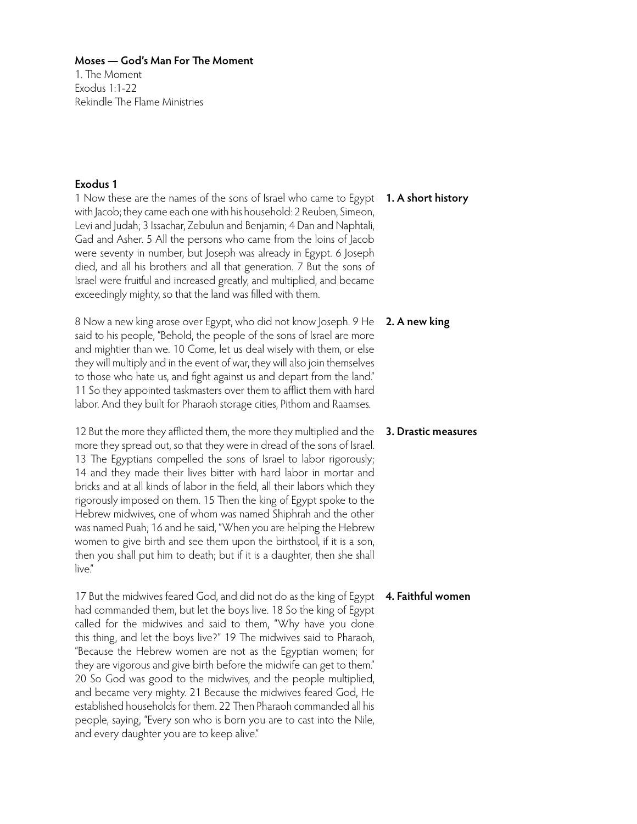1. The Moment Exodus 1:1-22 Rekindle The Flame Ministries

# **Exodus 1**

1 Now these are the names of the sons of Israel who came to Egypt **1. A short history** with Jacob; they came each one with his household: 2 Reuben, Simeon, Levi and Judah; 3 Issachar, Zebulun and Benjamin; 4 Dan and Naphtali, Gad and Asher. 5 All the persons who came from the loins of Jacob were seventy in number, but Joseph was already in Egypt. 6 Joseph died, and all his brothers and all that generation. 7 But the sons of Israel were fruitful and increased greatly, and multiplied, and became exceedingly mighty, so that the land was filled with them.

8 Now a new king arose over Egypt, who did not know Joseph. 9 He said to his people, "Behold, the people of the sons of Israel are more and mightier than we. 10 Come, let us deal wisely with them, or else they will multiply and in the event of war, they will also join themselves to those who hate us, and fight against us and depart from the land." 11 So they appointed taskmasters over them to afflict them with hard labor. And they built for Pharaoh storage cities, Pithom and Raamses.

12 But the more they afflicted them, the more they multiplied and the more they spread out, so that they were in dread of the sons of Israel. 13 The Egyptians compelled the sons of Israel to labor rigorously; 14 and they made their lives bitter with hard labor in mortar and bricks and at all kinds of labor in the field, all their labors which they rigorously imposed on them. 15 Then the king of Egypt spoke to the Hebrew midwives, one of whom was named Shiphrah and the other was named Puah; 16 and he said, "When you are helping the Hebrew women to give birth and see them upon the birthstool, if it is a son, then you shall put him to death; but if it is a daughter, then she shall live"

17 But the midwives feared God, and did not do as the king of Egypt had commanded them, but let the boys live. 18 So the king of Egypt called for the midwives and said to them, "Why have you done this thing, and let the boys live?" 19 The midwives said to Pharaoh, "Because the Hebrew women are not as the Egyptian women; for they are vigorous and give birth before the midwife can get to them." 20 So God was good to the midwives, and the people multiplied, and became very mighty. 21 Because the midwives feared God, He established households for them. 22 Then Pharaoh commanded all his people, saying, "Every son who is born you are to cast into the Nile, and every daughter you are to keep alive."

# **2. A new king**

## **3. Drastic measures**

#### **4. Faithful women**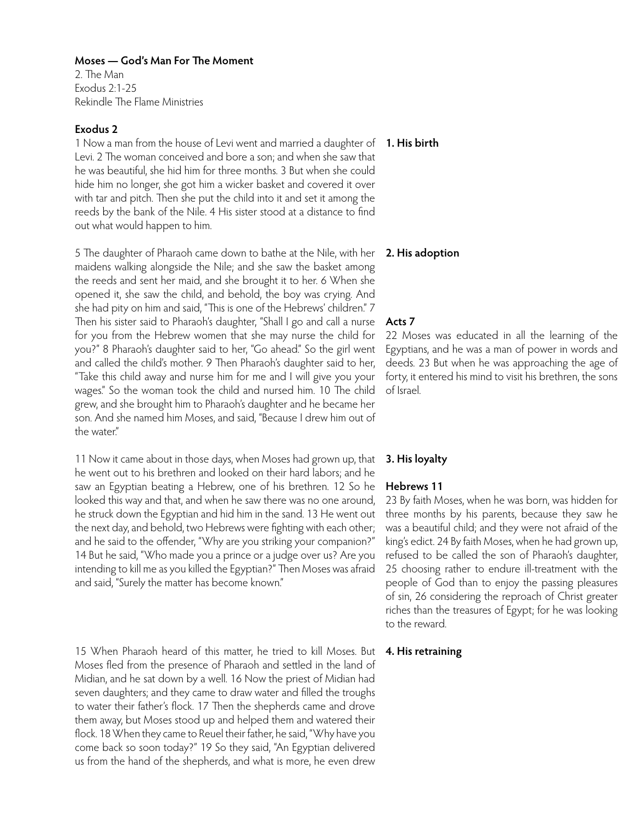2. The Man Exodus 2:1-25 Rekindle The Flame Ministries

## **Exodus 2**

1 Now a man from the house of Levi went and married a daughter of **1. His birth** Levi. 2 The woman conceived and bore a son; and when she saw that he was beautiful, she hid him for three months. 3 But when she could hide him no longer, she got him a wicker basket and covered it over with tar and pitch. Then she put the child into it and set it among the reeds by the bank of the Nile. 4 His sister stood at a distance to find out what would happen to him.

5 The daughter of Pharaoh came down to bathe at the Nile, with her maidens walking alongside the Nile; and she saw the basket among the reeds and sent her maid, and she brought it to her. 6 When she opened it, she saw the child, and behold, the boy was crying. And she had pity on him and said, "This is one of the Hebrews' children." 7 Then his sister said to Pharaoh's daughter, "Shall I go and call a nurse for you from the Hebrew women that she may nurse the child for you?" 8 Pharaoh's daughter said to her, "Go ahead." So the girl went and called the child's mother. 9 Then Pharaoh's daughter said to her, "Take this child away and nurse him for me and I will give you your wages." So the woman took the child and nursed him. 10 The child grew, and she brought him to Pharaoh's daughter and he became her son. And she named him Moses, and said, "Because I drew him out of the water"

11 Now it came about in those days, when Moses had grown up, that he went out to his brethren and looked on their hard labors; and he saw an Egyptian beating a Hebrew, one of his brethren. 12 So he looked this way and that, and when he saw there was no one around, he struck down the Egyptian and hid him in the sand. 13 He went out the next day, and behold, two Hebrews were fighting with each other; and he said to the offender, "Why are you striking your companion?" 14 But he said, "Who made you a prince or a judge over us? Are you intending to kill me as you killed the Egyptian?" Then Moses was afraid and said, "Surely the matter has become known."

15 When Pharaoh heard of this matter, he tried to kill Moses. But Moses fled from the presence of Pharaoh and settled in the land of Midian, and he sat down by a well. 16 Now the priest of Midian had seven daughters; and they came to draw water and filled the troughs to water their father's flock. 17 Then the shepherds came and drove them away, but Moses stood up and helped them and watered their flock. 18 When they came to Reuel their father, he said, "Why have you come back so soon today?" 19 So they said, "An Egyptian delivered us from the hand of the shepherds, and what is more, he even drew

#### **2. His adoption**

#### **Acts 7**

22 Moses was educated in all the learning of the Egyptians, and he was a man of power in words and deeds. 23 But when he was approaching the age of forty, it entered his mind to visit his brethren, the sons of Israel.

#### **3. His loyalty**

#### **Hebrews 11**

23 By faith Moses, when he was born, was hidden for three months by his parents, because they saw he was a beautiful child; and they were not afraid of the king's edict. 24 By faith Moses, when he had grown up, refused to be called the son of Pharaoh's daughter, 25 choosing rather to endure ill-treatment with the people of God than to enjoy the passing pleasures of sin, 26 considering the reproach of Christ greater riches than the treasures of Egypt; for he was looking to the reward.

#### **4. His retraining**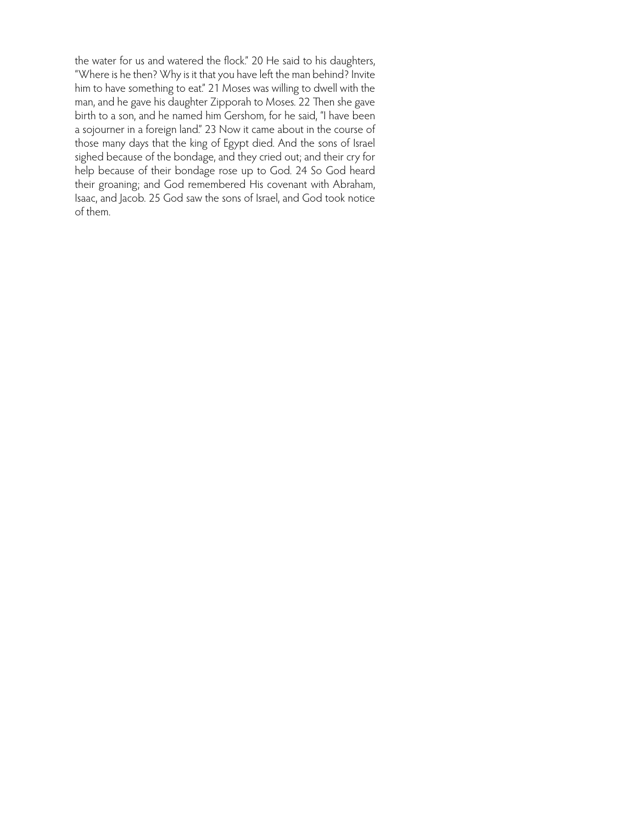the water for us and watered the flock." 20 He said to his daughters, "Where is he then? Why is it that you have left the man behind? Invite him to have something to eat." 21 Moses was willing to dwell with the man, and he gave his daughter Zipporah to Moses. 22 Then she gave birth to a son, and he named him Gershom, for he said, "I have been a sojourner in a foreign land." 23 Now it came about in the course of those many days that the king of Egypt died. And the sons of Israel sighed because of the bondage, and they cried out; and their cry for help because of their bondage rose up to God. 24 So God heard their groaning; and God remembered His covenant with Abraham, Isaac, and Jacob. 25 God saw the sons of Israel, and God took notice of them.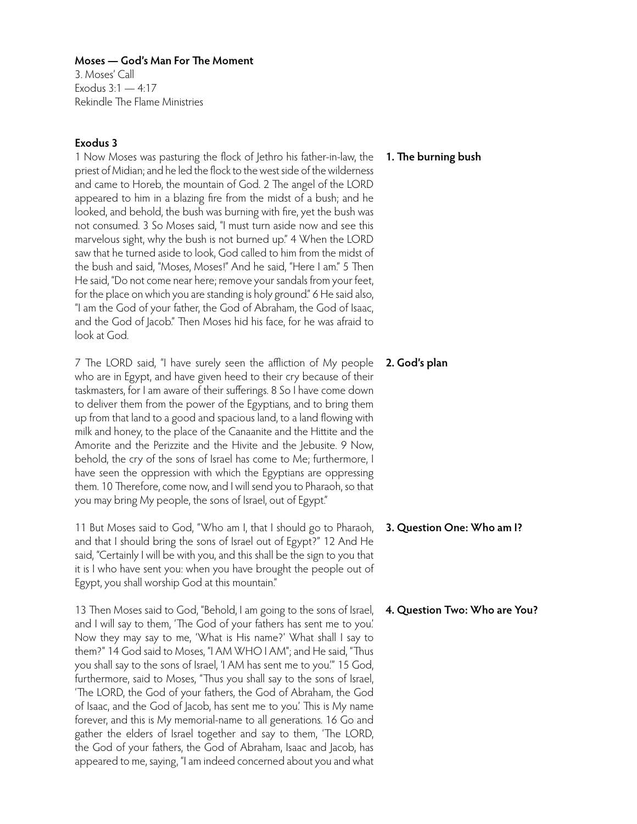3. Moses' Call Exodus  $3:1 - 4:17$ Rekindle The Flame Ministries

# **Exodus 3**

1 Now Moses was pasturing the flock of Jethro his father-in-law, the **1. The burning bush** priest of Midian; and he led the flock to the west side of the wilderness and came to Horeb, the mountain of God. 2 The angel of the LORD appeared to him in a blazing fire from the midst of a bush; and he looked, and behold, the bush was burning with fire, yet the bush was not consumed. 3 So Moses said, "I must turn aside now and see this marvelous sight, why the bush is not burned up." 4 When the LORD saw that he turned aside to look, God called to him from the midst of the bush and said, "Moses, Moses!" And he said, "Here I am." 5 Then He said, "Do not come near here; remove your sandals from your feet, for the place on which you are standing is holy ground." 6 He said also, "I am the God of your father, the God of Abraham, the God of Isaac, and the God of Jacob." Then Moses hid his face, for he was afraid to look at God.

7 The LORD said, "I have surely seen the affliction of My people who are in Egypt, and have given heed to their cry because of their taskmasters, for I am aware of their sufferings. 8 So I have come down to deliver them from the power of the Egyptians, and to bring them up from that land to a good and spacious land, to a land flowing with milk and honey, to the place of the Canaanite and the Hittite and the Amorite and the Perizzite and the Hivite and the Jebusite. 9 Now, behold, the cry of the sons of Israel has come to Me; furthermore, I have seen the oppression with which the Egyptians are oppressing them. 10 Therefore, come now, and I will send you to Pharaoh, so that you may bring My people, the sons of Israel, out of Egypt."

11 But Moses said to God, "Who am I, that I should go to Pharaoh, and that I should bring the sons of Israel out of Egypt?" 12 And He said, "Certainly I will be with you, and this shall be the sign to you that it is I who have sent you: when you have brought the people out of Egypt, you shall worship God at this mountain."

13 Then Moses said to God, "Behold, I am going to the sons of Israel, and I will say to them, 'The God of your fathers has sent me to you.' Now they may say to me, 'What is His name?' What shall I say to them?" 14 God said to Moses, "I AM WHO I AM"; and He said, "Thus you shall say to the sons of Israel, 'I AM has sent me to you.'" 15 God, furthermore, said to Moses, "Thus you shall say to the sons of Israel, 'The LORD, the God of your fathers, the God of Abraham, the God of Isaac, and the God of Jacob, has sent me to you.' This is My name forever, and this is My memorial-name to all generations. 16 Go and gather the elders of Israel together and say to them, 'The LORD, the God of your fathers, the God of Abraham, Isaac and Jacob, has appeared to me, saying, "I am indeed concerned about you and what

**2. God's plan**

- **3. Question One: Who am I?**
- **4. Question Two: Who are You?**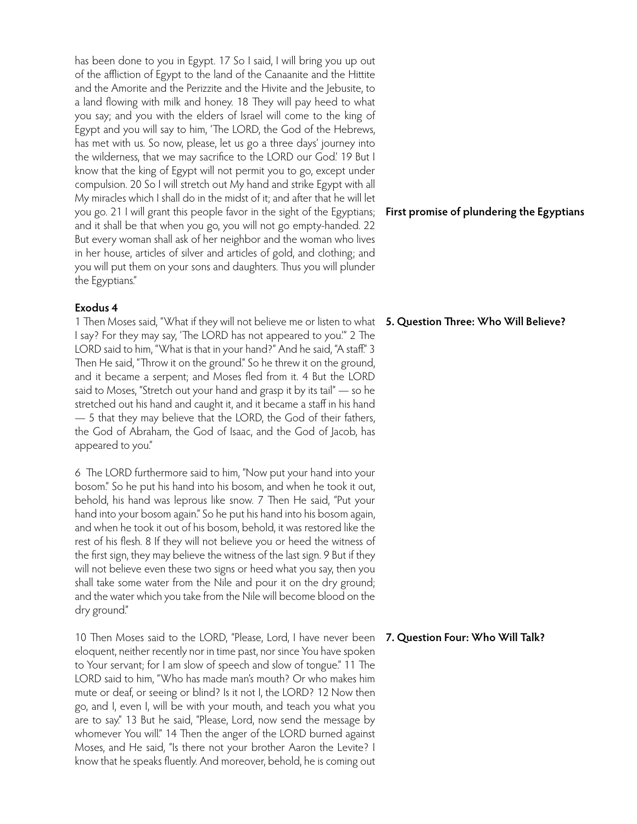has been done to you in Egypt. 17 So I said, I will bring you up out of the affliction of Egypt to the land of the Canaanite and the Hittite and the Amorite and the Perizzite and the Hivite and the Jebusite, to a land flowing with milk and honey. 18 They will pay heed to what you say; and you with the elders of Israel will come to the king of Egypt and you will say to him, 'The LORD, the God of the Hebrews, has met with us. So now, please, let us go a three days' journey into the wilderness, that we may sacrifice to the LORD our God.' 19 But I know that the king of Egypt will not permit you to go, except under compulsion. 20 So I will stretch out My hand and strike Egypt with all My miracles which I shall do in the midst of it; and after that he will let you go. 21 I will grant this people favor in the sight of the Egyptians; and it shall be that when you go, you will not go empty-handed. 22 But every woman shall ask of her neighbor and the woman who lives in her house, articles of silver and articles of gold, and clothing; and you will put them on your sons and daughters. Thus you will plunder the Egyptians."

## **Exodus 4**

1 Then Moses said, "What if they will not believe me or listen to what 5. Question Three: Who Will Believe? I say? For they may say, 'The LORD has not appeared to you.'" 2 The LORD said to him, "What is that in your hand?" And he said, "A staff." 3 Then He said, "Throw it on the ground." So he threw it on the ground, and it became a serpent; and Moses fled from it. 4 But the LORD said to Moses, "Stretch out your hand and grasp it by its tail" — so he stretched out his hand and caught it, and it became a staff in his hand — 5 that they may believe that the LORD, the God of their fathers, the God of Abraham, the God of Isaac, and the God of Jacob, has appeared to you."

6 The LORD furthermore said to him, "Now put your hand into your bosom." So he put his hand into his bosom, and when he took it out, behold, his hand was leprous like snow. 7 Then He said, "Put your hand into your bosom again." So he put his hand into his bosom again, and when he took it out of his bosom, behold, it was restored like the rest of his flesh. 8 If they will not believe you or heed the witness of the first sign, they may believe the witness of the last sign. 9 But if they will not believe even these two signs or heed what you say, then you shall take some water from the Nile and pour it on the dry ground; and the water which you take from the Nile will become blood on the dry ground."

10 Then Moses said to the LORD, "Please, Lord, I have never been eloquent, neither recently nor in time past, nor since You have spoken to Your servant; for I am slow of speech and slow of tongue." 11 The LORD said to him, "Who has made man's mouth? Or who makes him mute or deaf, or seeing or blind? Is it not I, the LORD? 12 Now then go, and I, even I, will be with your mouth, and teach you what you are to say." 13 But he said, "Please, Lord, now send the message by whomever You will." 14 Then the anger of the LORD burned against Moses, and He said, "Is there not your brother Aaron the Levite? I know that he speaks fluently. And moreover, behold, he is coming out

# **First promise of plundering the Egyptians**

# **7. Question Four: Who Will Talk?**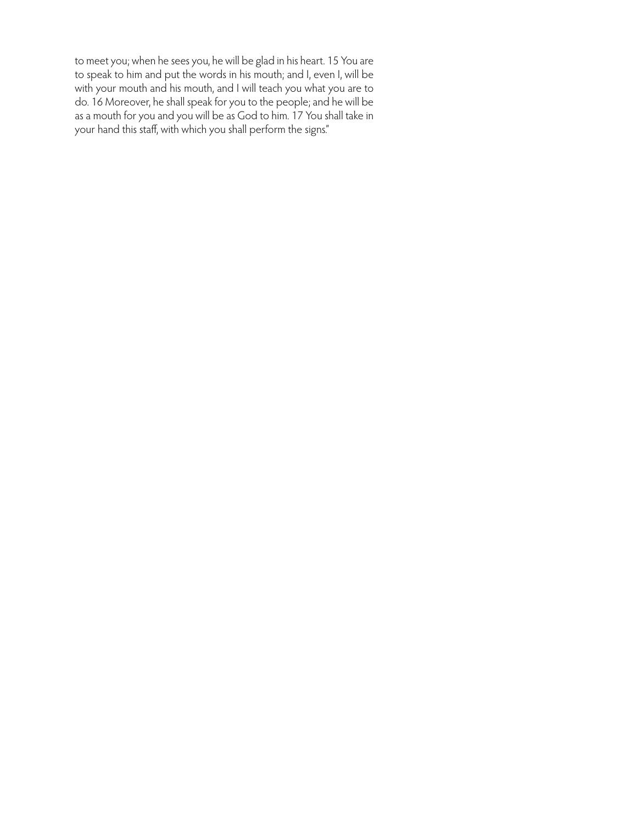to meet you; when he sees you, he will be glad in his heart. 15 You are to speak to him and put the words in his mouth; and I, even I, will be with your mouth and his mouth, and I will teach you what you are to do. 16 Moreover, he shall speak for you to the people; and he will be as a mouth for you and you will be as God to him. 17 You shall take in your hand this staff, with which you shall perform the signs."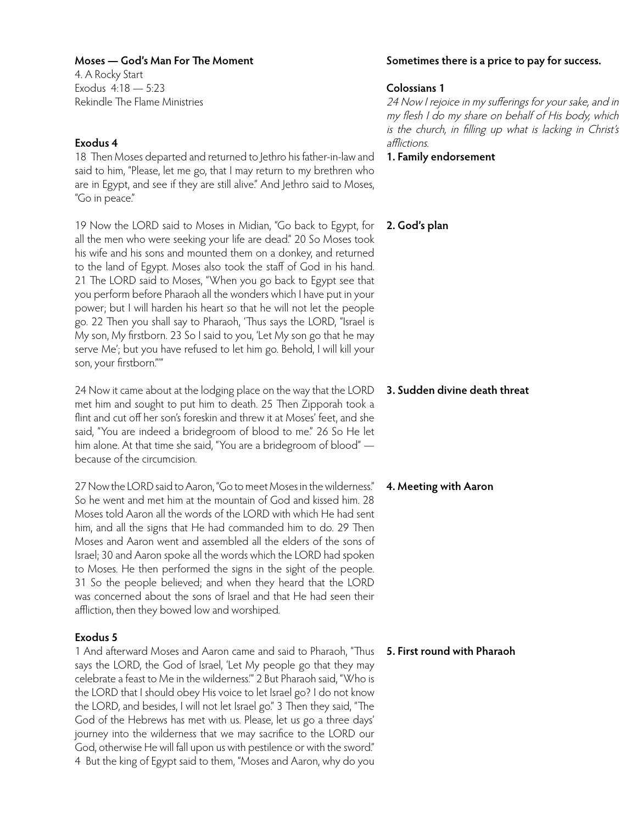4. A Rocky Start Exodus 4:18 — 5:23 Rekindle The Flame Ministries

# **Exodus 4**

18 Then Moses departed and returned to Jethro his father-in-law and said to him, "Please, let me go, that I may return to my brethren who are in Egypt, and see if they are still alive." And Jethro said to Moses, "Go in peace."

19 Now the LORD said to Moses in Midian, "Go back to Egypt, for all the men who were seeking your life are dead." 20 So Moses took his wife and his sons and mounted them on a donkey, and returned to the land of Egypt. Moses also took the staff of God in his hand. 21 The LORD said to Moses, "When you go back to Egypt see that you perform before Pharaoh all the wonders which I have put in your power; but I will harden his heart so that he will not let the people go. 22 Then you shall say to Pharaoh, 'Thus says the LORD, "Israel is My son, My firstborn. 23 So I said to you, 'Let My son go that he may serve Me'; but you have refused to let him go. Behold, I will kill your son, your firstborn."'"

24 Now it came about at the lodging place on the way that the LORD met him and sought to put him to death. 25 Then Zipporah took a flint and cut off her son's foreskin and threw it at Moses' feet, and she said, "You are indeed a bridegroom of blood to me." 26 So He let him alone. At that time she said, "You are a bridegroom of blood" because of the circumcision.

27 Now the LORD said to Aaron, "Go to meet Moses in the wilderness." So he went and met him at the mountain of God and kissed him. 28 Moses told Aaron all the words of the LORD with which He had sent him, and all the signs that He had commanded him to do. 29 Then Moses and Aaron went and assembled all the elders of the sons of Israel; 30 and Aaron spoke all the words which the LORD had spoken to Moses. He then performed the signs in the sight of the people. 31 So the people believed; and when they heard that the LORD was concerned about the sons of Israel and that He had seen their affliction, then they bowed low and worshiped.

# **Exodus 5**

1 And afterward Moses and Aaron came and said to Pharaoh, "Thus says the LORD, the God of Israel, 'Let My people go that they may celebrate a feast to Me in the wilderness.'" 2 But Pharaoh said, "Who is the LORD that I should obey His voice to let Israel go? I do not know the LORD, and besides, I will not let Israel go." 3 Then they said, "The God of the Hebrews has met with us. Please, let us go a three days' journey into the wilderness that we may sacrifice to the LORD our God, otherwise He will fall upon us with pestilence or with the sword." 4 But the king of Egypt said to them, "Moses and Aaron, why do you

## **Sometimes there is a price to pay for success.**

## **Colossians 1**

24 Now I rejoice in my sufferings for your sake, and in my flesh I do my share on behalf of His body, which is the church, in filling up what is lacking in Christ's afflictions.

**1. Family endorsement**

# **2. God's plan**

## **3. Sudden divine death threat**

# **4. Meeting with Aaron**

# **5. First round with Pharaoh**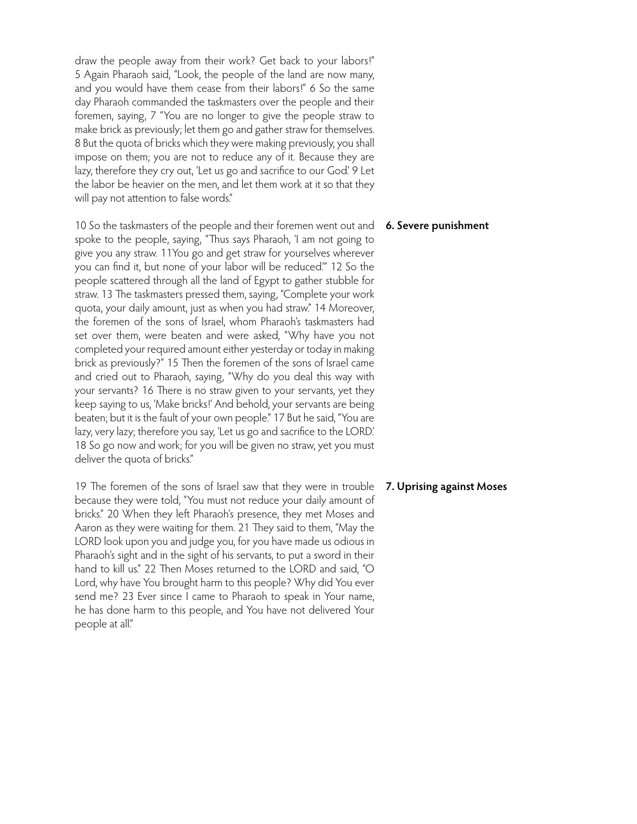draw the people away from their work? Get back to your labors!" 5 Again Pharaoh said, "Look, the people of the land are now many, and you would have them cease from their labors!" 6 So the same day Pharaoh commanded the taskmasters over the people and their foremen, saying, 7 "You are no longer to give the people straw to make brick as previously; let them go and gather straw for themselves. 8 But the quota of bricks which they were making previously, you shall impose on them; you are not to reduce any of it. Because they are lazy, therefore they cry out, 'Let us go and sacrifice to our God'. 9 Let the labor be heavier on the men, and let them work at it so that they will pay not attention to false words."

10 So the taskmasters of the people and their foremen went out and **6. Severe punishment** spoke to the people, saying, "Thus says Pharaoh, 'I am not going to give you any straw. 11You go and get straw for yourselves wherever you can find it, but none of your labor will be reduced.'" 12 So the people scattered through all the land of Egypt to gather stubble for straw. 13 The taskmasters pressed them, saying, "Complete your work quota, your daily amount, just as when you had straw." 14 Moreover, the foremen of the sons of Israel, whom Pharaoh's taskmasters had set over them, were beaten and were asked, "Why have you not completed your required amount either yesterday or today in making brick as previously?" 15 Then the foremen of the sons of Israel came and cried out to Pharaoh, saying, "Why do you deal this way with your servants? 16 There is no straw given to your servants, yet they keep saying to us, 'Make bricks!' And behold, your servants are being beaten; but it is the fault of your own people." 17 But he said, "You are lazy, very lazy; therefore you say, 'Let us go and sacrifice to the LORD.' 18 So go now and work; for you will be given no straw, yet you must deliver the quota of bricks."

19 The foremen of the sons of Israel saw that they were in trouble because they were told, "You must not reduce your daily amount of bricks." 20 When they left Pharaoh's presence, they met Moses and Aaron as they were waiting for them. 21 They said to them, "May the LORD look upon you and judge you, for you have made us odious in Pharaoh's sight and in the sight of his servants, to put a sword in their hand to kill us." 22 Then Moses returned to the LORD and said, "O Lord, why have You brought harm to this people? Why did You ever send me? 23 Ever since I came to Pharaoh to speak in Your name, he has done harm to this people, and You have not delivered Your people at all."

## **7. Uprising against Moses**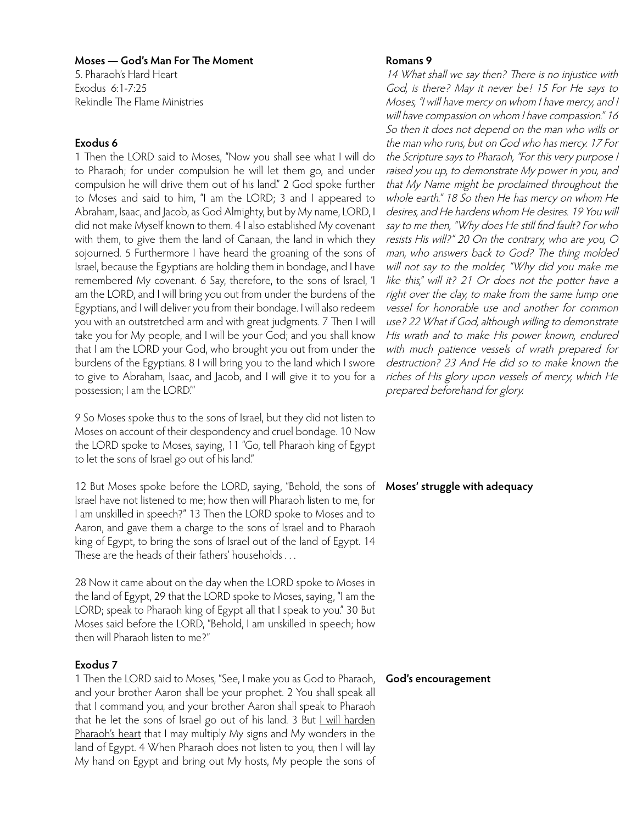5. Pharaoh's Hard Heart Exodus 6:1-7:25 Rekindle The Flame Ministries

# **Exodus 6**

1 Then the LORD said to Moses, "Now you shall see what I will do to Pharaoh; for under compulsion he will let them go, and under compulsion he will drive them out of his land." 2 God spoke further to Moses and said to him, "I am the LORD; 3 and I appeared to Abraham, Isaac, and Jacob, as God Almighty, but by My name, LORD, I did not make Myself known to them. 4 I also established My covenant with them, to give them the land of Canaan, the land in which they sojourned. 5 Furthermore I have heard the groaning of the sons of Israel, because the Egyptians are holding them in bondage, and I have remembered My covenant. 6 Say, therefore, to the sons of Israel, 'I am the LORD, and I will bring you out from under the burdens of the Egyptians, and I will deliver you from their bondage. I will also redeem you with an outstretched arm and with great judgments. 7 Then I will take you for My people, and I will be your God; and you shall know that I am the LORD your God, who brought you out from under the burdens of the Egyptians. 8 I will bring you to the land which I swore to give to Abraham, Isaac, and Jacob, and I will give it to you for a possession; I am the LORD.'"

9 So Moses spoke thus to the sons of Israel, but they did not listen to Moses on account of their despondency and cruel bondage. 10 Now the LORD spoke to Moses, saying, 11 "Go, tell Pharaoh king of Egypt to let the sons of Israel go out of his land."

12 But Moses spoke before the LORD, saying, "Behold, the sons of **Moses' struggle with adequacy** Israel have not listened to me; how then will Pharaoh listen to me, for I am unskilled in speech?" 13 Then the LORD spoke to Moses and to Aaron, and gave them a charge to the sons of Israel and to Pharaoh king of Egypt, to bring the sons of Israel out of the land of Egypt. 14 These are the heads of their fathers' households . . .

28 Now it came about on the day when the LORD spoke to Moses in the land of Egypt, 29 that the LORD spoke to Moses, saying, "I am the LORD; speak to Pharaoh king of Egypt all that I speak to you." 30 But Moses said before the LORD, "Behold, I am unskilled in speech; how then will Pharaoh listen to me?"

# **Exodus 7**

1 Then the LORD said to Moses, "See, I make you as God to Pharaoh, and your brother Aaron shall be your prophet. 2 You shall speak all that I command you, and your brother Aaron shall speak to Pharaoh that he let the sons of Israel go out of his land. 3 But I will harden Pharaoh's heart that I may multiply My signs and My wonders in the land of Egypt. 4 When Pharaoh does not listen to you, then I will lay My hand on Egypt and bring out My hosts, My people the sons of

### **Romans 9**

14 What shall we say then? There is no injustice with God, is there? May it never be! 15 For He says to Moses, "I will have mercy on whom I have mercy, and I will have compassion on whom I have compassion." 16 So then it does not depend on the man who wills or the man who runs, but on God who has mercy. 17 For the Scripture says to Pharaoh, "For this very purpose I raised you up, to demonstrate My power in you, and that My Name might be proclaimed throughout the whole earth." 18 So then He has mercy on whom He desires, and He hardens whom He desires. 19 You will say to me then, "Why does He still find fault? For who resists His will?" 20 On the contrary, who are you, O man, who answers back to God? The thing molded will not say to the molder, "Why did you make me like this," will it? 21 Or does not the potter have a right over the clay, to make from the same lump one vessel for honorable use and another for common use? 22 What if God, although willing to demonstrate His wrath and to make His power known, endured with much patience vessels of wrath prepared for destruction? 23 And He did so to make known the riches of His glory upon vessels of mercy, which He prepared beforehand for glory.

#### **God's encouragement**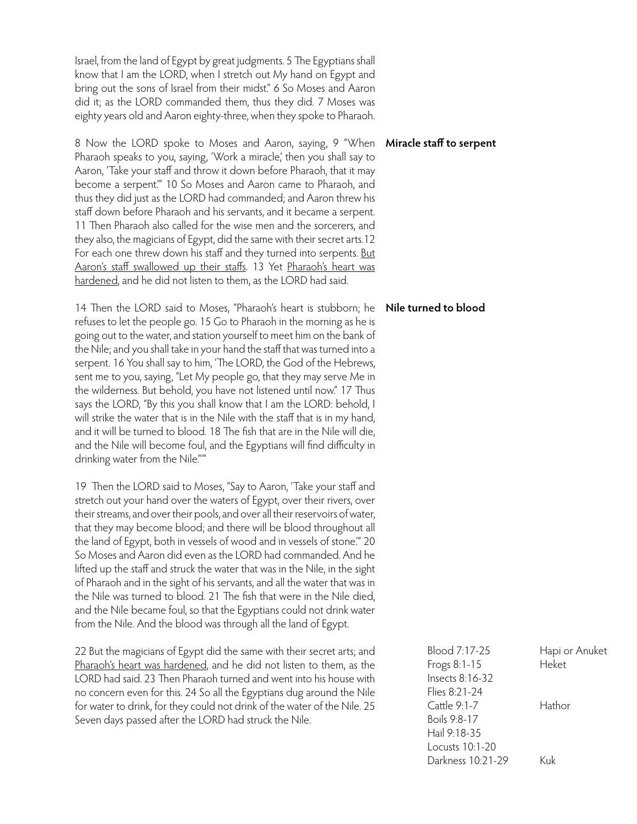Israel, from the land of Egypt by great judgments. 5 The Egyptians shall know that I am the LORD, when I stretch out My hand on Egypt and bring out the sons of Israel from their midst." 6 So Moses and Aaron did it; as the LORD commanded them, thus they did. 7 Moses was eighty years old and Aaron eighty-three, when they spoke to Pharaoh.

8 Now the LORD spoke to Moses and Aaron, saying, 9 "When Pharaoh speaks to you, saying, 'Work a miracle', then you shall say to Aaron, 'Take your staff and throw it down before Pharaoh, that it may become a serpent.'" 10 So Moses and Aaron came to Pharaoh, and thus they did just as the LORD had commanded; and Aaron threw his staff down before Pharaoh and his servants, and it became a serpent. 11 Then Pharaoh also called for the wise men and the sorcerers, and they also, the magicians of Egypt, did the same with their secret arts.12 For each one threw down his staff and they turned into serpents. But Aaron's staff swallowed up their staffs. 13 Yet Pharaoh's heart was hardened, and he did not listen to them, as the LORD had said.

14 Then the LORD said to Moses, "Pharaoh's heart is stubborn; he refuses to let the people go. 15 Go to Pharaoh in the morning as he is going out to the water, and station yourself to meet him on the bank of the Nile; and you shall take in your hand the staff that was turned into a serpent. 16 You shall say to him, 'The LORD, the God of the Hebrews, sent me to you, saying, "Let My people go, that they may serve Me in the wilderness. But behold, you have not listened until now." 17 Thus says the LORD, "By this you shall know that I am the LORD: behold, I will strike the water that is in the Nile with the staff that is in my hand, and it will be turned to blood. 18 The fish that are in the Nile will die, and the Nile will become foul, and the Egyptians will find difficulty in drinking water from the Nile."'"

19 Then the LORD said to Moses, "Say to Aaron, 'Take your staff and stretch out your hand over the waters of Egypt, over their rivers, over their streams, and over their pools, and over all their reservoirs of water, that they may become blood; and there will be blood throughout all the land of Egypt, both in vessels of wood and in vessels of stone.'" 20 So Moses and Aaron did even as the LORD had commanded. And he lifted up the staff and struck the water that was in the Nile, in the sight of Pharaoh and in the sight of his servants, and all the water that was in the Nile was turned to blood. 21 The fish that were in the Nile died, and the Nile became foul, so that the Egyptians could not drink water from the Nile. And the blood was through all the land of Egypt.

22 But the magicians of Egypt did the same with their secret arts; and Pharaoh's heart was hardened, and he did not listen to them, as the LORD had said. 23 Then Pharaoh turned and went into his house with no concern even for this. 24 So all the Egyptians dug around the Nile for water to drink, for they could not drink of the water of the Nile. 25 Seven days passed after the LORD had struck the Nile.

#### **Miracle staff to serpent**

**Nile turned to blood**

Blood 7:17-25 Hapi or Anuket Frogs 8:1-15 Heket Insects 8:16-32 Flies 8:21-24 Cattle 9:1-7 Hathor Boils 9:8-17 Hail 9:18-35 Locusts 10:1-20 Darkness 10:21-29 Kuk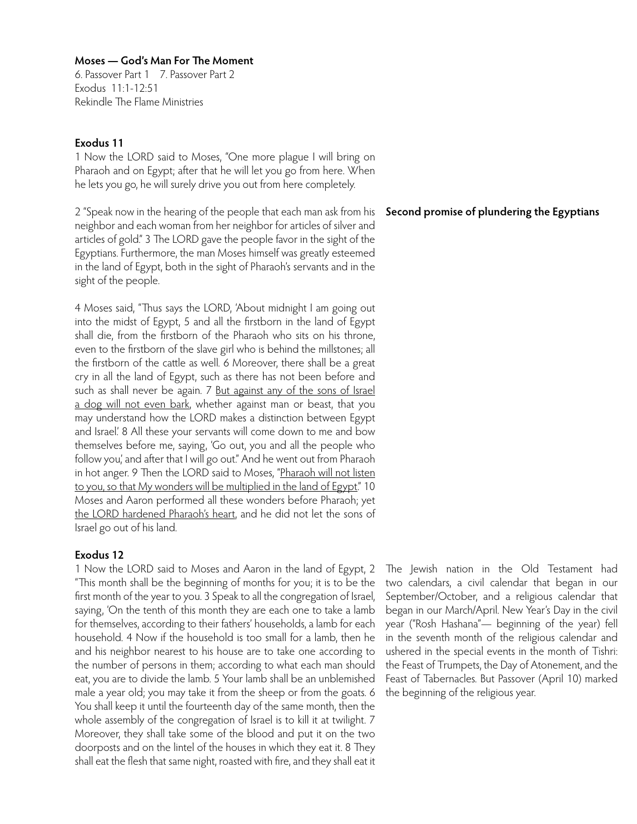6. Passover Part 1 7. Passover Part 2 Exodus 11:1-12:51 Rekindle The Flame Ministries

# **Exodus 11**

1 Now the LORD said to Moses, "One more plague I will bring on Pharaoh and on Egypt; after that he will let you go from here. When he lets you go, he will surely drive you out from here completely.

2 "Speak now in the hearing of the people that each man ask from his neighbor and each woman from her neighbor for articles of silver and articles of gold." 3 The LORD gave the people favor in the sight of the Egyptians. Furthermore, the man Moses himself was greatly esteemed in the land of Egypt, both in the sight of Pharaoh's servants and in the sight of the people.

4 Moses said, "Thus says the LORD, 'About midnight I am going out into the midst of Egypt, 5 and all the firstborn in the land of Egypt shall die, from the firstborn of the Pharaoh who sits on his throne, even to the firstborn of the slave girl who is behind the millstones; all the firstborn of the cattle as well. 6 Moreover, there shall be a great cry in all the land of Egypt, such as there has not been before and such as shall never be again. 7 But against any of the sons of Israel a dog will not even bark, whether against man or beast, that you may understand how the LORD makes a distinction between Egypt and Israel.' 8 All these your servants will come down to me and bow themselves before me, saying, 'Go out, you and all the people who follow you,' and after that I will go out." And he went out from Pharaoh in hot anger. 9 Then the LORD said to Moses, "Pharaoh will not listen to you, so that My wonders will be multiplied in the land of Egypt." 10 Moses and Aaron performed all these wonders before Pharaoh; yet the LORD hardened Pharaoh's heart, and he did not let the sons of Israel go out of his land.

## **Exodus 12**

1 Now the LORD said to Moses and Aaron in the land of Egypt, 2 "This month shall be the beginning of months for you; it is to be the first month of the year to you. 3 Speak to all the congregation of Israel, saying, 'On the tenth of this month they are each one to take a lamb for themselves, according to their fathers' households, a lamb for each household. 4 Now if the household is too small for a lamb, then he and his neighbor nearest to his house are to take one according to the number of persons in them; according to what each man should eat, you are to divide the lamb. 5 Your lamb shall be an unblemished male a year old; you may take it from the sheep or from the goats. 6 You shall keep it until the fourteenth day of the same month, then the whole assembly of the congregation of Israel is to kill it at twilight. 7 Moreover, they shall take some of the blood and put it on the two doorposts and on the lintel of the houses in which they eat it. 8 They shall eat the flesh that same night, roasted with fire, and they shall eat it

# **Second promise of plundering the Egyptians**

The Jewish nation in the Old Testament had two calendars, a civil calendar that began in our September/October, and a religious calendar that began in our March/April. New Year's Day in the civil year ("Rosh Hashana"— beginning of the year) fell in the seventh month of the religious calendar and ushered in the special events in the month of Tishri: the Feast of Trumpets, the Day of Atonement, and the Feast of Tabernacles. But Passover (April 10) marked the beginning of the religious year.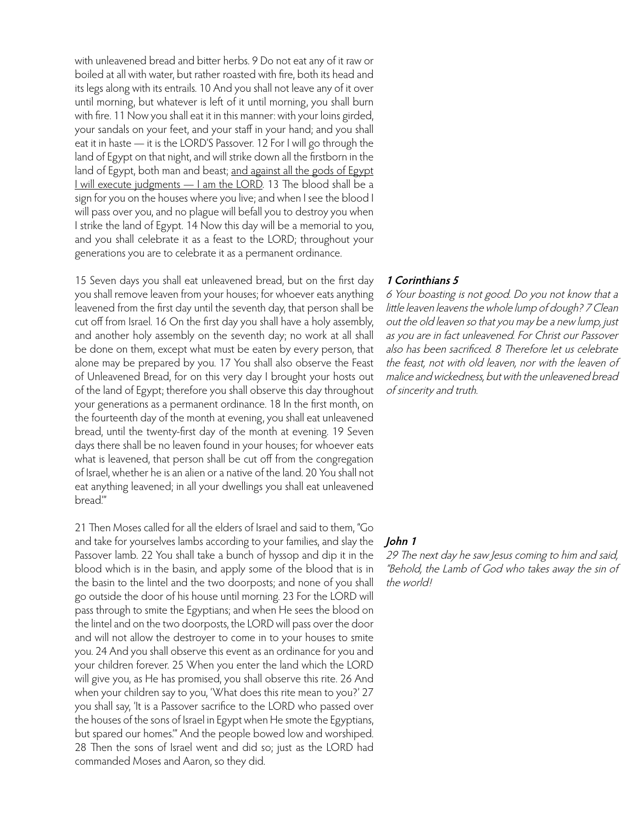with unleavened bread and bitter herbs. 9 Do not eat any of it raw or boiled at all with water, but rather roasted with fire, both its head and its legs along with its entrails. 10 And you shall not leave any of it over until morning, but whatever is left of it until morning, you shall burn with fire. 11 Now you shall eat it in this manner: with your loins girded, your sandals on your feet, and your staff in your hand; and you shall eat it in haste — it is the LORD'S Passover. 12 For I will go through the land of Egypt on that night, and will strike down all the firstborn in the land of Egypt, both man and beast; and against all the gods of Egypt I will execute judgments — I am the LORD. 13 The blood shall be a sign for you on the houses where you live; and when I see the blood I will pass over you, and no plague will befall you to destroy you when I strike the land of Egypt. 14 Now this day will be a memorial to you, and you shall celebrate it as a feast to the LORD; throughout your generations you are to celebrate it as a permanent ordinance.

15 Seven days you shall eat unleavened bread, but on the first day you shall remove leaven from your houses; for whoever eats anything leavened from the first day until the seventh day, that person shall be cut off from Israel. 16 On the first day you shall have a holy assembly, and another holy assembly on the seventh day; no work at all shall be done on them, except what must be eaten by every person, that alone may be prepared by you. 17 You shall also observe the Feast of Unleavened Bread, for on this very day I brought your hosts out of the land of Egypt; therefore you shall observe this day throughout your generations as a permanent ordinance. 18 In the first month, on the fourteenth day of the month at evening, you shall eat unleavened bread, until the twenty-first day of the month at evening. 19 Seven days there shall be no leaven found in your houses; for whoever eats what is leavened, that person shall be cut off from the congregation of Israel, whether he is an alien or a native of the land. 20 You shall not eat anything leavened; in all your dwellings you shall eat unleavened bread"

21 Then Moses called for all the elders of Israel and said to them, "Go and take for yourselves lambs according to your families, and slay the Passover lamb. 22 You shall take a bunch of hyssop and dip it in the blood which is in the basin, and apply some of the blood that is in the basin to the lintel and the two doorposts; and none of you shall go outside the door of his house until morning. 23 For the LORD will pass through to smite the Egyptians; and when He sees the blood on the lintel and on the two doorposts, the LORD will pass over the door and will not allow the destroyer to come in to your houses to smite you. 24 And you shall observe this event as an ordinance for you and your children forever. 25 When you enter the land which the LORD will give you, as He has promised, you shall observe this rite. 26 And when your children say to you, 'What does this rite mean to you?' 27 you shall say, 'It is a Passover sacrifice to the LORD who passed over the houses of the sons of Israel in Egypt when He smote the Egyptians, but spared our homes.'" And the people bowed low and worshiped. 28 Then the sons of Israel went and did so; just as the LORD had commanded Moses and Aaron, so they did.

### **1 Corinthians 5**

6 Your boasting is not good. Do you not know that a little leaven leavens the whole lump of dough? 7 Clean out the old leaven so that you may be a new lump, just as you are in fact unleavened. For Christ our Passover also has been sacrificed. 8 Therefore let us celebrate the feast, not with old leaven, nor with the leaven of malice and wickedness, but with the unleavened bread of sincerity and truth.

## **John 1**

29 The next day he saw Jesus coming to him and said, "Behold, the Lamb of God who takes away the sin of the world!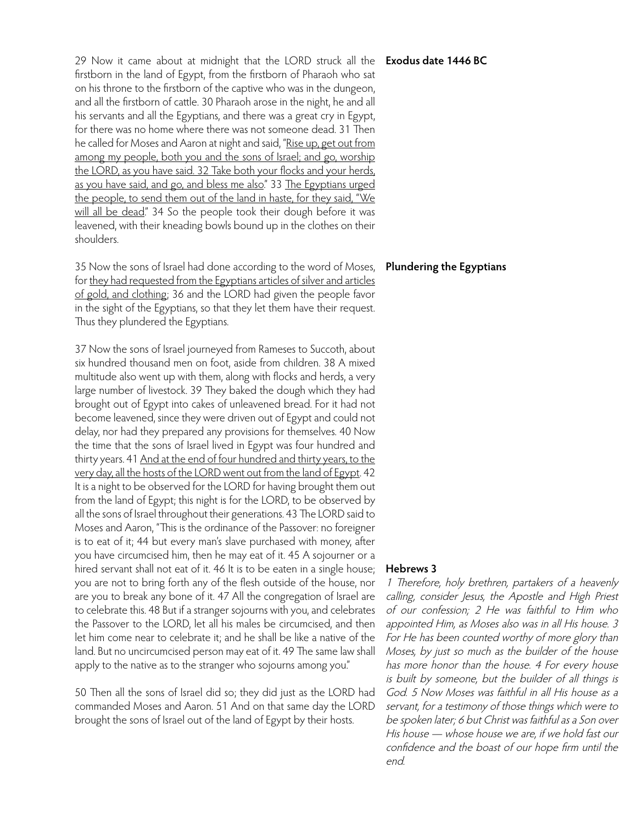29 Now it came about at midnight that the LORD struck all the **Exodus date 1446 BC** firstborn in the land of Egypt, from the firstborn of Pharaoh who sat on his throne to the firstborn of the captive who was in the dungeon, and all the firstborn of cattle. 30 Pharaoh arose in the night, he and all his servants and all the Egyptians, and there was a great cry in Egypt, for there was no home where there was not someone dead. 31 Then he called for Moses and Aaron at night and said, "Rise up, get out from among my people, both you and the sons of Israel; and go, worship the LORD, as you have said. 32 Take both your flocks and your herds, as you have said, and go, and bless me also." 33 The Egyptians urged the people, to send them out of the land in haste, for they said, "We will all be dead." 34 So the people took their dough before it was leavened, with their kneading bowls bound up in the clothes on their shoulders.

35 Now the sons of Israel had done according to the word of Moses, **Plundering the Egyptians** for they had requested from the Egyptians articles of silver and articles of gold, and clothing; 36 and the LORD had given the people favor in the sight of the Egyptians, so that they let them have their request. Thus they plundered the Egyptians.

37 Now the sons of Israel journeyed from Rameses to Succoth, about six hundred thousand men on foot, aside from children. 38 A mixed multitude also went up with them, along with flocks and herds, a very large number of livestock. 39 They baked the dough which they had brought out of Egypt into cakes of unleavened bread. For it had not become leavened, since they were driven out of Egypt and could not delay, nor had they prepared any provisions for themselves. 40 Now the time that the sons of Israel lived in Egypt was four hundred and thirty years. 41 And at the end of four hundred and thirty years, to the very day, all the hosts of the LORD went out from the land of Egypt. 42 It is a night to be observed for the LORD for having brought them out from the land of Egypt; this night is for the LORD, to be observed by all the sons of Israel throughout their generations. 43 The LORD said to Moses and Aaron, "This is the ordinance of the Passover: no foreigner is to eat of it; 44 but every man's slave purchased with money, after you have circumcised him, then he may eat of it. 45 A sojourner or a hired servant shall not eat of it. 46 It is to be eaten in a single house; you are not to bring forth any of the flesh outside of the house, nor are you to break any bone of it. 47 All the congregation of Israel are to celebrate this. 48 But if a stranger sojourns with you, and celebrates the Passover to the LORD, let all his males be circumcised, and then let him come near to celebrate it; and he shall be like a native of the land. But no uncircumcised person may eat of it. 49 The same law shall apply to the native as to the stranger who sojourns among you."

50 Then all the sons of Israel did so; they did just as the LORD had commanded Moses and Aaron. 51 And on that same day the LORD brought the sons of Israel out of the land of Egypt by their hosts.

## **Hebrews 3**

1 Therefore, holy brethren, partakers of a heavenly calling, consider Jesus, the Apostle and High Priest of our confession; 2 He was faithful to Him who appointed Him, as Moses also was in all His house. 3 For He has been counted worthy of more glory than Moses, by just so much as the builder of the house has more honor than the house. 4 For every house is built by someone, but the builder of all things is God. 5 Now Moses was faithful in all His house as a servant, for a testimony of those things which were to be spoken later; 6 but Christ was faithful as a Son over His house — whose house we are, if we hold fast our confidence and the boast of our hope firm until the end.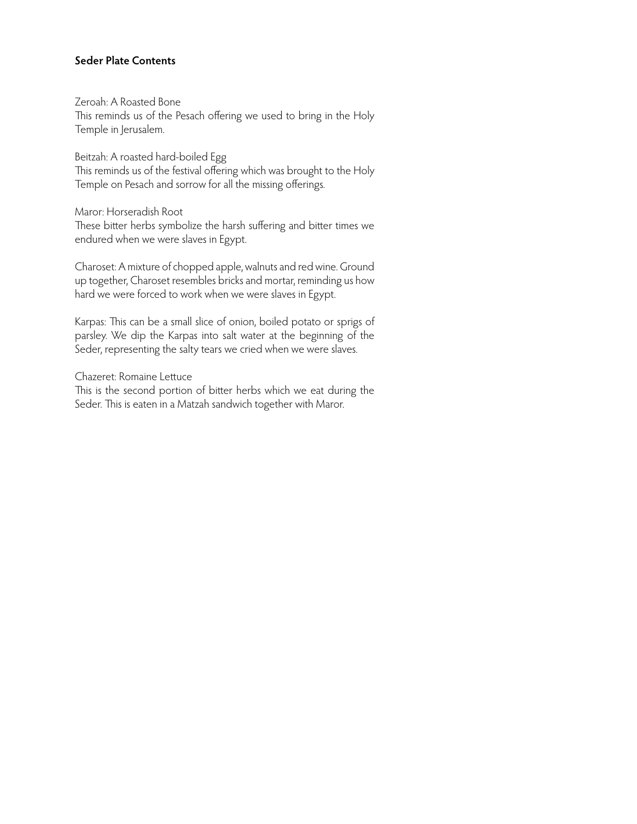# **Seder Plate Contents**

Zeroah: A Roasted Bone

This reminds us of the Pesach offering we used to bring in the Holy Temple in Jerusalem.

Beitzah: A roasted hard-boiled Egg

This reminds us of the festival offering which was brought to the Holy Temple on Pesach and sorrow for all the missing offerings.

Maror: Horseradish Root

These bitter herbs symbolize the harsh suffering and bitter times we endured when we were slaves in Egypt.

Charoset: A mixture of chopped apple, walnuts and red wine. Ground up together, Charoset resembles bricks and mortar, reminding us how hard we were forced to work when we were slaves in Egypt.

Karpas: This can be a small slice of onion, boiled potato or sprigs of parsley. We dip the Karpas into salt water at the beginning of the Seder, representing the salty tears we cried when we were slaves.

Chazeret: Romaine Lettuce

This is the second portion of bitter herbs which we eat during the Seder. This is eaten in a Matzah sandwich together with Maror.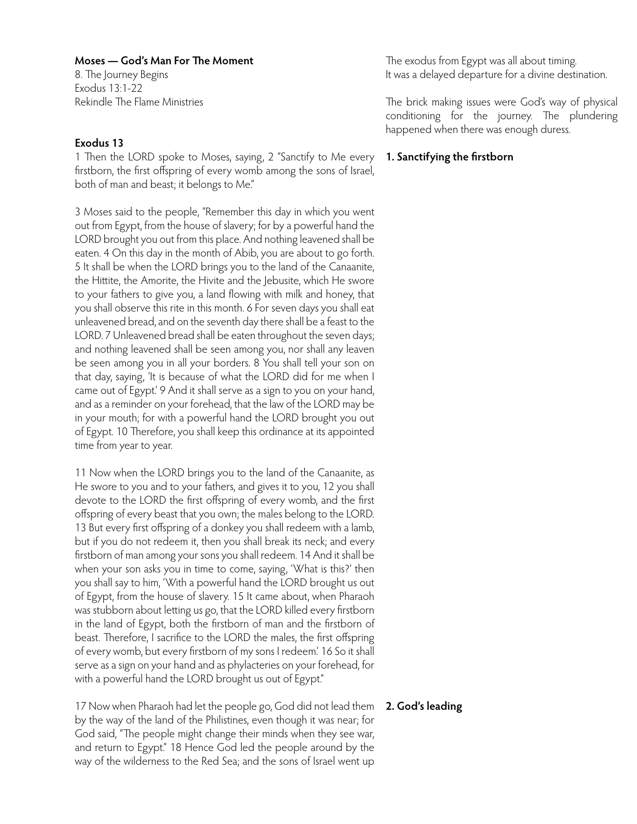8. The Journey Begins Exodus 13:1-22 Rekindle The Flame Ministries

# **Exodus 13**

1 Then the LORD spoke to Moses, saying, 2 "Sanctify to Me every firstborn, the first offspring of every womb among the sons of Israel, both of man and beast; it belongs to Me."

3 Moses said to the people, "Remember this day in which you went out from Egypt, from the house of slavery; for by a powerful hand the LORD brought you out from this place. And nothing leavened shall be eaten. 4 On this day in the month of Abib, you are about to go forth. 5 It shall be when the LORD brings you to the land of the Canaanite, the Hittite, the Amorite, the Hivite and the Jebusite, which He swore to your fathers to give you, a land flowing with milk and honey, that you shall observe this rite in this month. 6 For seven days you shall eat unleavened bread, and on the seventh day there shall be a feast to the LORD. 7 Unleavened bread shall be eaten throughout the seven days; and nothing leavened shall be seen among you, nor shall any leaven be seen among you in all your borders. 8 You shall tell your son on that day, saying, 'It is because of what the LORD did for me when I came out of Egypt.' 9 And it shall serve as a sign to you on your hand, and as a reminder on your forehead, that the law of the LORD may be in your mouth; for with a powerful hand the LORD brought you out of Egypt. 10 Therefore, you shall keep this ordinance at its appointed time from year to year.

11 Now when the LORD brings you to the land of the Canaanite, as He swore to you and to your fathers, and gives it to you, 12 you shall devote to the LORD the first offspring of every womb, and the first offspring of every beast that you own; the males belong to the LORD. 13 But every first offspring of a donkey you shall redeem with a lamb, but if you do not redeem it, then you shall break its neck; and every firstborn of man among your sons you shall redeem. 14 And it shall be when your son asks you in time to come, saying, 'What is this?' then you shall say to him, 'With a powerful hand the LORD brought us out of Egypt, from the house of slavery. 15 It came about, when Pharaoh was stubborn about letting us go, that the LORD killed every firstborn in the land of Egypt, both the firstborn of man and the firstborn of beast. Therefore, I sacrifice to the LORD the males, the first offspring of every womb, but every firstborn of my sons I redeem.' 16 So it shall serve as a sign on your hand and as phylacteries on your forehead, for with a powerful hand the LORD brought us out of Egypt."

17 Now when Pharaoh had let the people go, God did not lead them **2. God's leading**by the way of the land of the Philistines, even though it was near; for God said, "The people might change their minds when they see war, and return to Egypt." 18 Hence God led the people around by the way of the wilderness to the Red Sea; and the sons of Israel went up

The exodus from Egypt was all about timing. It was a delayed departure for a divine destination.

The brick making issues were God's way of physical conditioning for the journey. The plundering happened when there was enough duress.

# **1. Sanctifying the firstborn**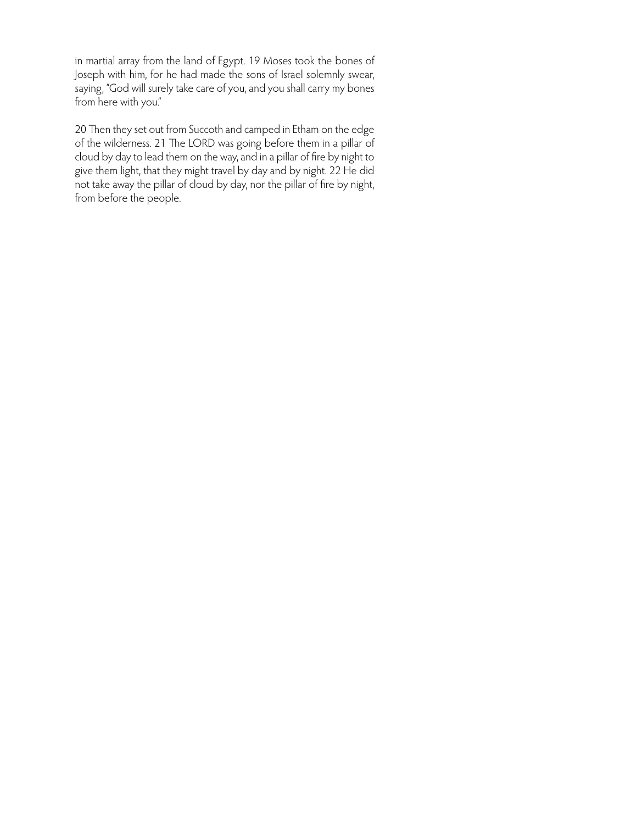in martial array from the land of Egypt. 19 Moses took the bones of Joseph with him, for he had made the sons of Israel solemnly swear, saying, "God will surely take care of you, and you shall carry my bones from here with you."

20 Then they set out from Succoth and camped in Etham on the edge of the wilderness. 21 The LORD was going before them in a pillar of cloud by day to lead them on the way, and in a pillar of fire by night to give them light, that they might travel by day and by night. 22 He did not take away the pillar of cloud by day, nor the pillar of fire by night, from before the people.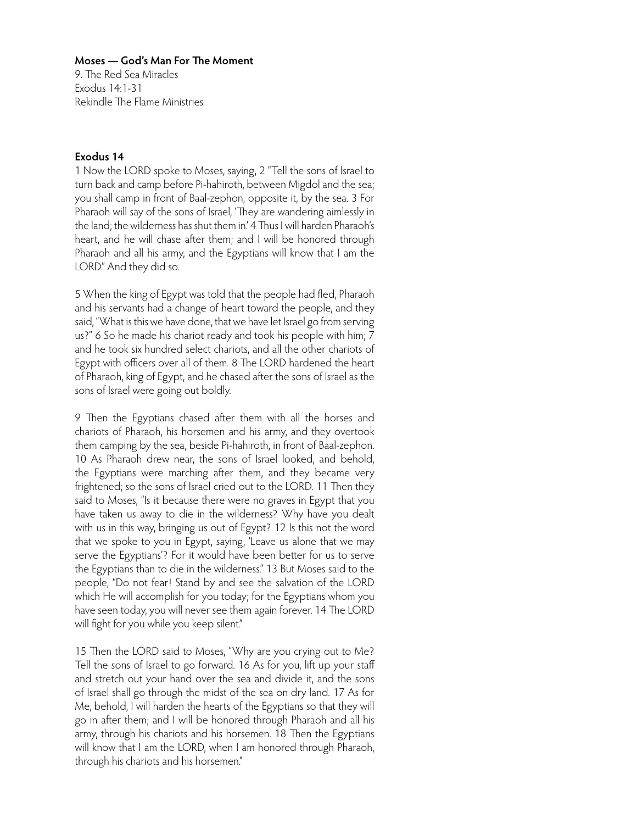9. The Red Sea Miracles Exodus 14:1-31 Rekindle The Flame Ministries

# **Exodus 14**

1 Now the LORD spoke to Moses, saying, 2 "Tell the sons of Israel to turn back and camp before Pi-hahiroth, between Migdol and the sea; you shall camp in front of Baal-zephon, opposite it, by the sea. 3 For Pharaoh will say of the sons of Israel, 'They are wandering aimlessly in the land; the wilderness has shut them in.' 4 Thus I will harden Pharaoh's heart, and he will chase after them; and I will be honored through Pharaoh and all his army, and the Egyptians will know that I am the LORD." And they did so.

5 When the king of Egypt was told that the people had fled, Pharaoh and his servants had a change of heart toward the people, and they said, "What is this we have done, that we have let Israel go from serving us?" 6 So he made his chariot ready and took his people with him; 7 and he took six hundred select chariots, and all the other chariots of Egypt with officers over all of them. 8 The LORD hardened the heart of Pharaoh, king of Egypt, and he chased after the sons of Israel as the sons of Israel were going out boldly.

9 Then the Egyptians chased after them with all the horses and chariots of Pharaoh, his horsemen and his army, and they overtook them camping by the sea, beside Pi-hahiroth, in front of Baal-zephon. 10 As Pharaoh drew near, the sons of Israel looked, and behold, the Egyptians were marching after them, and they became very frightened; so the sons of Israel cried out to the LORD. 11 Then they said to Moses, "Is it because there were no graves in Egypt that you have taken us away to die in the wilderness? Why have you dealt with us in this way, bringing us out of Egypt? 12 Is this not the word that we spoke to you in Egypt, saying, 'Leave us alone that we may serve the Egyptians'? For it would have been better for us to serve the Egyptians than to die in the wilderness." 13 But Moses said to the people, "Do not fear! Stand by and see the salvation of the LORD which He will accomplish for you today; for the Egyptians whom you have seen today, you will never see them again forever. 14 The LORD will fight for you while you keep silent."

15 Then the LORD said to Moses, "Why are you crying out to Me? Tell the sons of Israel to go forward. 16 As for you, lift up your staff and stretch out your hand over the sea and divide it, and the sons of Israel shall go through the midst of the sea on dry land. 17 As for Me, behold, I will harden the hearts of the Egyptians so that they will go in after them; and I will be honored through Pharaoh and all his army, through his chariots and his horsemen. 18 Then the Egyptians will know that I am the LORD, when I am honored through Pharaoh, through his chariots and his horsemen."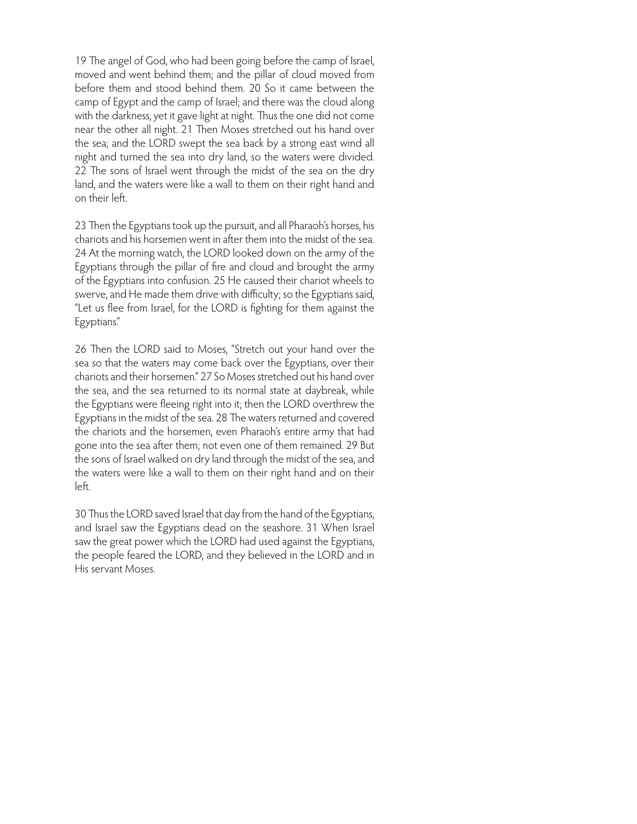19 The angel of God, who had been going before the camp of Israel, moved and went behind them; and the pillar of cloud moved from before them and stood behind them. 20 So it came between the camp of Egypt and the camp of Israel; and there was the cloud along with the darkness, yet it gave light at night. Thus the one did not come near the other all night. 21 Then Moses stretched out his hand over the sea; and the LORD swept the sea back by a strong east wind all night and turned the sea into dry land, so the waters were divided. 22 The sons of Israel went through the midst of the sea on the dry land, and the waters were like a wall to them on their right hand and on their left.

23 Then the Egyptians took up the pursuit, and all Pharaoh's horses, his chariots and his horsemen went in after them into the midst of the sea. 24 At the morning watch, the LORD looked down on the army of the Egyptians through the pillar of fire and cloud and brought the army of the Egyptians into confusion. 25 He caused their chariot wheels to swerve, and He made them drive with difficulty; so the Egyptians said, "Let us flee from Israel, for the LORD is fighting for them against the Egyptians."

26 Then the LORD said to Moses, "Stretch out your hand over the sea so that the waters may come back over the Egyptians, over their chariots and their horsemen." 27 So Moses stretched out his hand over the sea, and the sea returned to its normal state at daybreak, while the Egyptians were fleeing right into it; then the LORD overthrew the Egyptians in the midst of the sea. 28 The waters returned and covered the chariots and the horsemen, even Pharaoh's entire army that had gone into the sea after them; not even one of them remained. 29 But the sons of Israel walked on dry land through the midst of the sea, and the waters were like a wall to them on their right hand and on their left.

30 Thus the LORD saved Israel that day from the hand of the Egyptians, and Israel saw the Egyptians dead on the seashore. 31 When Israel saw the great power which the LORD had used against the Egyptians, the people feared the LORD, and they believed in the LORD and in His servant Moses.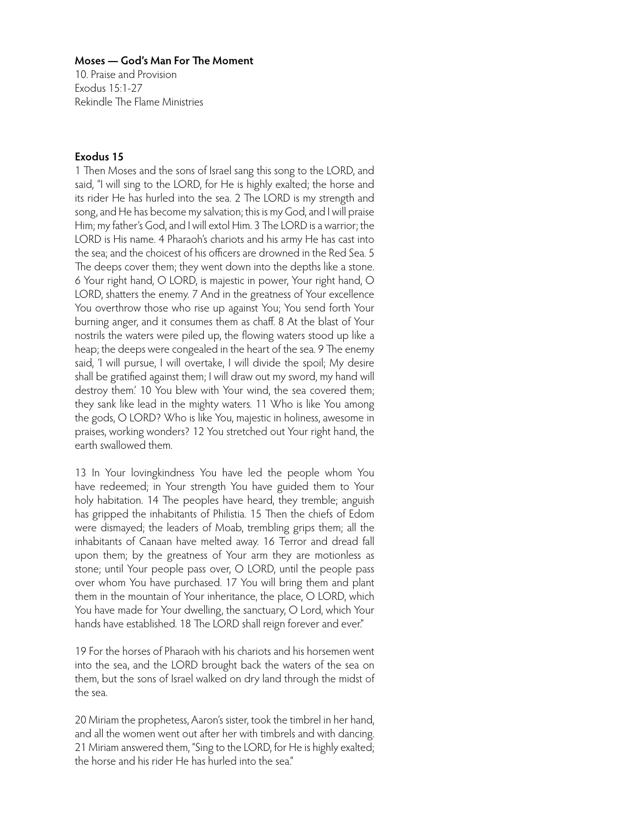10. Praise and Provision Exodus 15:1-27 Rekindle The Flame Ministries

# **Exodus 15**

1 Then Moses and the sons of Israel sang this song to the LORD, and said, "I will sing to the LORD, for He is highly exalted; the horse and its rider He has hurled into the sea. 2 The LORD is my strength and song, and He has become my salvation; this is my God, and I will praise Him; my father's God, and I will extol Him. 3 The LORD is a warrior; the LORD is His name. 4 Pharaoh's chariots and his army He has cast into the sea; and the choicest of his officers are drowned in the Red Sea. 5 The deeps cover them; they went down into the depths like a stone. 6 Your right hand, O LORD, is majestic in power, Your right hand, O LORD, shatters the enemy. 7 And in the greatness of Your excellence You overthrow those who rise up against You; You send forth Your burning anger, and it consumes them as chaff. 8 At the blast of Your nostrils the waters were piled up, the flowing waters stood up like a heap; the deeps were congealed in the heart of the sea. 9 The enemy said, 'I will pursue, I will overtake, I will divide the spoil; My desire shall be gratified against them; I will draw out my sword, my hand will destroy them.' 10 You blew with Your wind, the sea covered them; they sank like lead in the mighty waters. 11 Who is like You among the gods, O LORD? Who is like You, majestic in holiness, awesome in praises, working wonders? 12 You stretched out Your right hand, the earth swallowed them.

13 In Your lovingkindness You have led the people whom You have redeemed; in Your strength You have guided them to Your holy habitation. 14 The peoples have heard, they tremble; anguish has gripped the inhabitants of Philistia. 15 Then the chiefs of Edom were dismayed; the leaders of Moab, trembling grips them; all the inhabitants of Canaan have melted away. 16 Terror and dread fall upon them; by the greatness of Your arm they are motionless as stone; until Your people pass over, O LORD, until the people pass over whom You have purchased. 17 You will bring them and plant them in the mountain of Your inheritance, the place, O LORD, which You have made for Your dwelling, the sanctuary, O Lord, which Your hands have established. 18 The LORD shall reign forever and ever."

19 For the horses of Pharaoh with his chariots and his horsemen went into the sea, and the LORD brought back the waters of the sea on them, but the sons of Israel walked on dry land through the midst of the sea.

20 Miriam the prophetess, Aaron's sister, took the timbrel in her hand, and all the women went out after her with timbrels and with dancing. 21 Miriam answered them, "Sing to the LORD, for He is highly exalted; the horse and his rider He has hurled into the sea."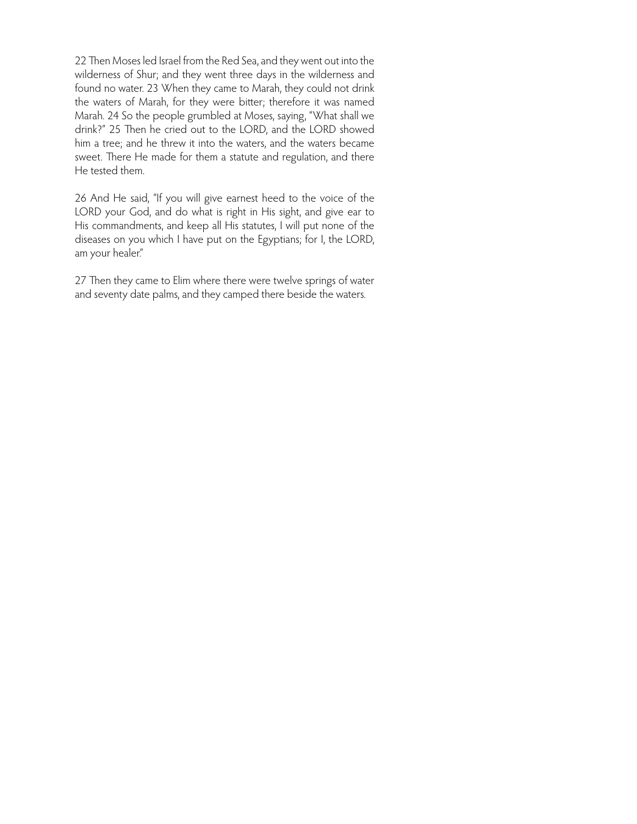22 Then Moses led Israel from the Red Sea, and they went out into the wilderness of Shur; and they went three days in the wilderness and found no water. 23 When they came to Marah, they could not drink the waters of Marah, for they were bitter; therefore it was named Marah. 24 So the people grumbled at Moses, saying, "What shall we drink?" 25 Then he cried out to the LORD, and the LORD showed him a tree; and he threw it into the waters, and the waters became sweet. There He made for them a statute and regulation, and there He tested them.

26 And He said, "If you will give earnest heed to the voice of the LORD your God, and do what is right in His sight, and give ear to His commandments, and keep all His statutes, I will put none of the diseases on you which I have put on the Egyptians; for I, the LORD, am your healer."

27 Then they came to Elim where there were twelve springs of water and seventy date palms, and they camped there beside the waters.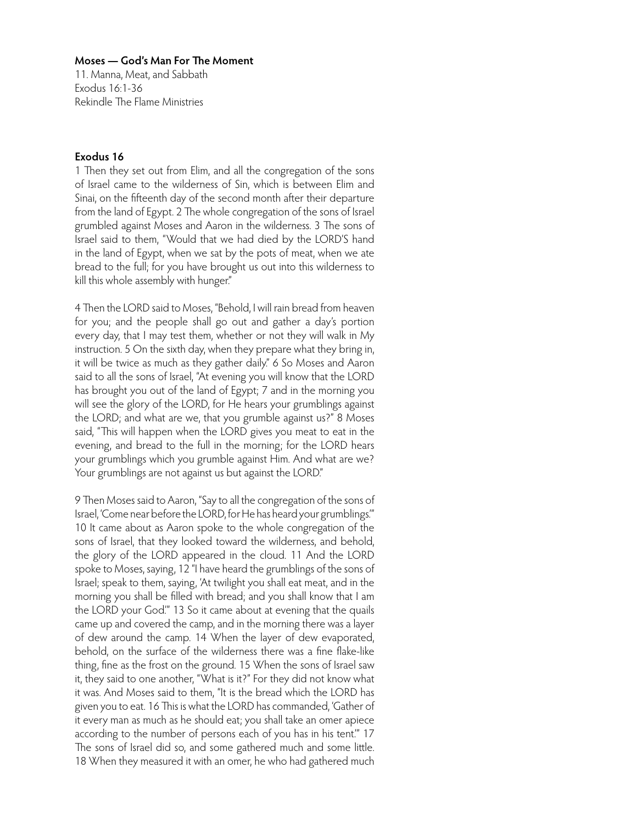11. Manna, Meat, and Sabbath Exodus 16:1-36 Rekindle The Flame Ministries

# **Exodus 16**

1 Then they set out from Elim, and all the congregation of the sons of Israel came to the wilderness of Sin, which is between Elim and Sinai, on the fifteenth day of the second month after their departure from the land of Egypt. 2 The whole congregation of the sons of Israel grumbled against Moses and Aaron in the wilderness. 3 The sons of Israel said to them, "Would that we had died by the LORD'S hand in the land of Egypt, when we sat by the pots of meat, when we ate bread to the full; for you have brought us out into this wilderness to kill this whole assembly with hunger."

4 Then the LORD said to Moses, "Behold, I will rain bread from heaven for you; and the people shall go out and gather a day's portion every day, that I may test them, whether or not they will walk in My instruction. 5 On the sixth day, when they prepare what they bring in, it will be twice as much as they gather daily." 6 So Moses and Aaron said to all the sons of Israel, "At evening you will know that the LORD has brought you out of the land of Egypt; 7 and in the morning you will see the glory of the LORD, for He hears your grumblings against the LORD; and what are we, that you grumble against us?" 8 Moses said, "This will happen when the LORD gives you meat to eat in the evening, and bread to the full in the morning; for the LORD hears your grumblings which you grumble against Him. And what are we? Your grumblings are not against us but against the LORD."

9 Then Moses said to Aaron, "Say to all the congregation of the sons of Israel, 'Come near before the LORD, for He has heard your grumblings.'" 10 It came about as Aaron spoke to the whole congregation of the sons of Israel, that they looked toward the wilderness, and behold, the glory of the LORD appeared in the cloud. 11 And the LORD spoke to Moses, saying, 12 "I have heard the grumblings of the sons of Israel; speak to them, saying, 'At twilight you shall eat meat, and in the morning you shall be filled with bread; and you shall know that I am the LORD your God.'" 13 So it came about at evening that the quails came up and covered the camp, and in the morning there was a layer of dew around the camp. 14 When the layer of dew evaporated, behold, on the surface of the wilderness there was a fine flake-like thing, fine as the frost on the ground. 15 When the sons of Israel saw it, they said to one another, "What is it?" For they did not know what it was. And Moses said to them, "It is the bread which the LORD has given you to eat. 16 This is what the LORD has commanded, 'Gather of it every man as much as he should eat; you shall take an omer apiece according to the number of persons each of you has in his tent.'" 17 The sons of Israel did so, and some gathered much and some little. 18 When they measured it with an omer, he who had gathered much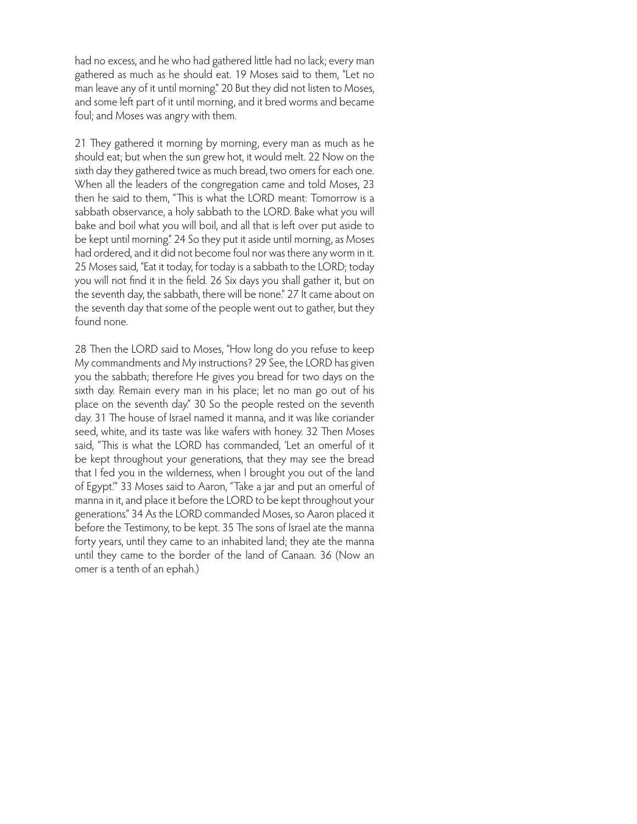had no excess, and he who had gathered little had no lack; every man gathered as much as he should eat. 19 Moses said to them, "Let no man leave any of it until morning." 20 But they did not listen to Moses, and some left part of it until morning, and it bred worms and became foul; and Moses was angry with them.

21 They gathered it morning by morning, every man as much as he should eat; but when the sun grew hot, it would melt. 22 Now on the sixth day they gathered twice as much bread, two omers for each one. When all the leaders of the congregation came and told Moses, 23 then he said to them, "This is what the LORD meant: Tomorrow is a sabbath observance, a holy sabbath to the LORD. Bake what you will bake and boil what you will boil, and all that is left over put aside to be kept until morning." 24 So they put it aside until morning, as Moses had ordered, and it did not become foul nor was there any worm in it. 25 Moses said, "Eat it today, for today is a sabbath to the LORD; today you will not find it in the field. 26 Six days you shall gather it, but on the seventh day, the sabbath, there will be none." 27 It came about on the seventh day that some of the people went out to gather, but they found none.

28 Then the LORD said to Moses, "How long do you refuse to keep My commandments and My instructions? 29 See, the LORD has given you the sabbath; therefore He gives you bread for two days on the sixth day. Remain every man in his place; let no man go out of his place on the seventh day." 30 So the people rested on the seventh day. 31 The house of Israel named it manna, and it was like coriander seed, white, and its taste was like wafers with honey. 32 Then Moses said, "This is what the LORD has commanded, 'Let an omerful of it be kept throughout your generations, that they may see the bread that I fed you in the wilderness, when I brought you out of the land of Egypt.'" 33 Moses said to Aaron, "Take a jar and put an omerful of manna in it, and place it before the LORD to be kept throughout your generations." 34 As the LORD commanded Moses, so Aaron placed it before the Testimony, to be kept. 35 The sons of Israel ate the manna forty years, until they came to an inhabited land; they ate the manna until they came to the border of the land of Canaan. 36 (Now an omer is a tenth of an ephah.)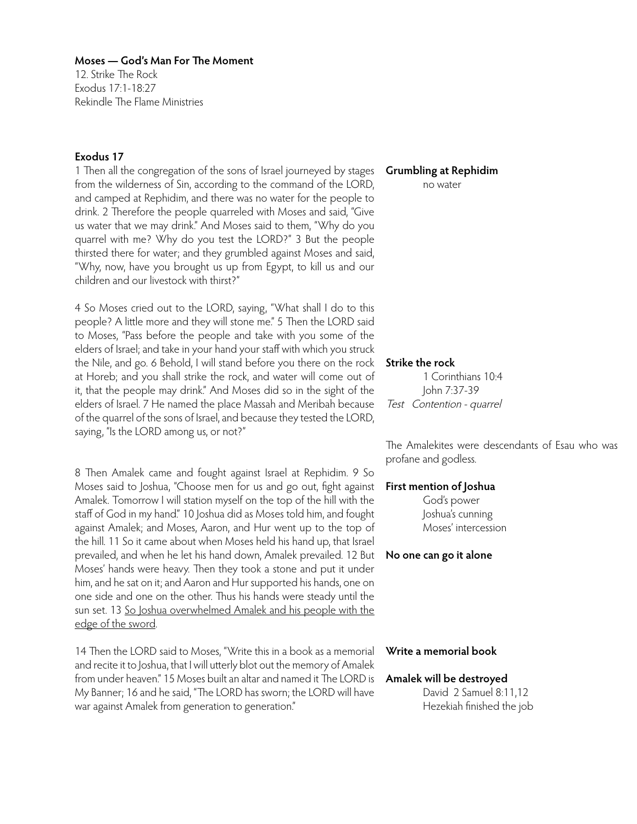12. Strike The Rock Exodus 17:1-18:27 Rekindle The Flame Ministries

## **Exodus 17**

1 Then all the congregation of the sons of Israel journeyed by stages from the wilderness of Sin, according to the command of the LORD, and camped at Rephidim, and there was no water for the people to drink. 2 Therefore the people quarreled with Moses and said, "Give us water that we may drink." And Moses said to them, "Why do you quarrel with me? Why do you test the LORD?" 3 But the people thirsted there for water; and they grumbled against Moses and said, "Why, now, have you brought us up from Egypt, to kill us and our children and our livestock with thirst?"

4 So Moses cried out to the LORD, saying, "What shall I do to this people? A little more and they will stone me." 5 Then the LORD said to Moses, "Pass before the people and take with you some of the elders of Israel; and take in your hand your staff with which you struck the Nile, and go. 6 Behold, I will stand before you there on the rock at Horeb; and you shall strike the rock, and water will come out of it, that the people may drink." And Moses did so in the sight of the elders of Israel. 7 He named the place Massah and Meribah because of the quarrel of the sons of Israel, and because they tested the LORD, saying, "Is the LORD among us, or not?"

8 Then Amalek came and fought against Israel at Rephidim. 9 So Moses said to Joshua, "Choose men for us and go out, fight against Amalek. Tomorrow I will station myself on the top of the hill with the staff of God in my hand." 10 Joshua did as Moses told him, and fought against Amalek; and Moses, Aaron, and Hur went up to the top of the hill. 11 So it came about when Moses held his hand up, that Israel prevailed, and when he let his hand down, Amalek prevailed. 12 But Moses' hands were heavy. Then they took a stone and put it under him, and he sat on it; and Aaron and Hur supported his hands, one on one side and one on the other. Thus his hands were steady until the sun set. 13 So Joshua overwhelmed Amalek and his people with the edge of the sword.

14 Then the LORD said to Moses, "Write this in a book as a memorial and recite it to Joshua, that I will utterly blot out the memory of Amalek from under heaven." 15 Moses built an altar and named it The LORD is My Banner; 16 and he said, "The LORD has sworn; the LORD will have war against Amalek from generation to generation."

## **Grumbling at Rephidim**

no water

#### **Strike the rock**

1 Corinthians 10:4 John 7:37-39 Test Contention - quarrel

The Amalekites were descendants of Esau who was profane and godless.

## **First mention of Joshua**

God's power Joshua's cunning Moses' intercession

**No one can go it alone**

# **Write a memorial book**

## **Amalek will be destroyed**

David 2 Samuel 8:11,12 Hezekiah finished the job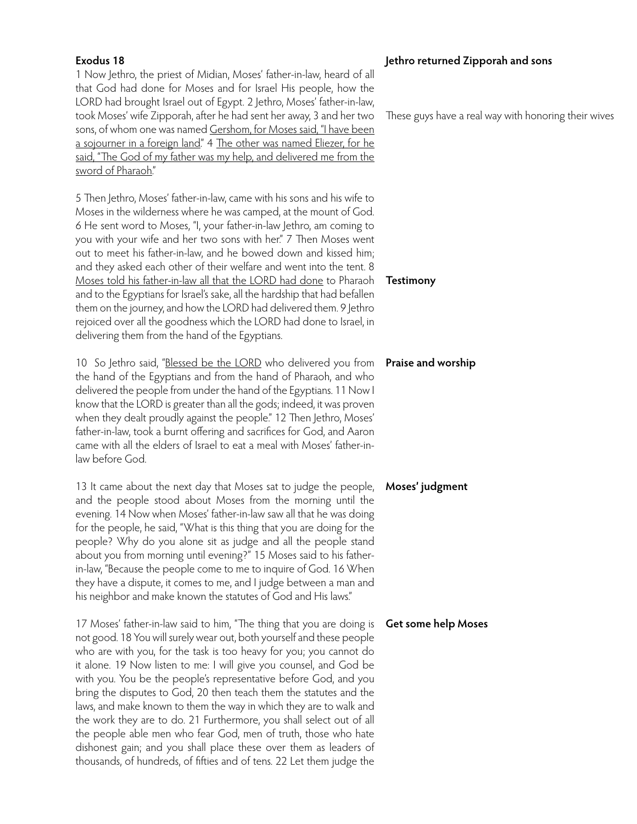# **Exodus 18**

1 Now Jethro, the priest of Midian, Moses' father-in-law, heard of all that God had done for Moses and for Israel His people, how the LORD had brought Israel out of Egypt. 2 Jethro, Moses' father-in-law, took Moses' wife Zipporah, after he had sent her away, 3 and her two sons, of whom one was named Gershom, for Moses said, "I have been a sojourner in a foreign land." 4 The other was named Eliezer, for he said, "The God of my father was my help, and delivered me from the sword of Pharaoh."

5 Then Jethro, Moses' father-in-law, came with his sons and his wife to Moses in the wilderness where he was camped, at the mount of God. 6 He sent word to Moses, "I, your father-in-law Jethro, am coming to you with your wife and her two sons with her." 7 Then Moses went out to meet his father-in-law, and he bowed down and kissed him; and they asked each other of their welfare and went into the tent. 8 Moses told his father-in-law all that the LORD had done to Pharaoh and to the Egyptians for Israel's sake, all the hardship that had befallen them on the journey, and how the LORD had delivered them. 9 Jethro rejoiced over all the goodness which the LORD had done to Israel, in delivering them from the hand of the Egyptians.

10 So Jethro said, "Blessed be the LORD who delivered you from the hand of the Egyptians and from the hand of Pharaoh, and who delivered the people from under the hand of the Egyptians. 11 Now I know that the LORD is greater than all the gods; indeed, it was proven when they dealt proudly against the people." 12 Then Jethro, Moses' father-in-law, took a burnt offering and sacrifices for God, and Aaron came with all the elders of Israel to eat a meal with Moses' father-inlaw before God.

13 It came about the next day that Moses sat to judge the people, and the people stood about Moses from the morning until the evening. 14 Now when Moses' father-in-law saw all that he was doing for the people, he said, "What is this thing that you are doing for the people? Why do you alone sit as judge and all the people stand about you from morning until evening?" 15 Moses said to his fatherin-law, "Because the people come to me to inquire of God. 16 When they have a dispute, it comes to me, and I judge between a man and his neighbor and make known the statutes of God and His laws."

17 Moses' father-in-law said to him, "The thing that you are doing is **Get some help Moses**not good. 18 You will surely wear out, both yourself and these people who are with you, for the task is too heavy for you; you cannot do it alone. 19 Now listen to me: I will give you counsel, and God be with you. You be the people's representative before God, and you bring the disputes to God, 20 then teach them the statutes and the laws, and make known to them the way in which they are to walk and the work they are to do. 21 Furthermore, you shall select out of all the people able men who fear God, men of truth, those who hate dishonest gain; and you shall place these over them as leaders of thousands, of hundreds, of fifties and of tens. 22 Let them judge the

# **Jethro returned Zipporah and sons**

These guys have a real way with honoring their wives

**Testimony**

## **Praise and worship**

## **Moses' judgment**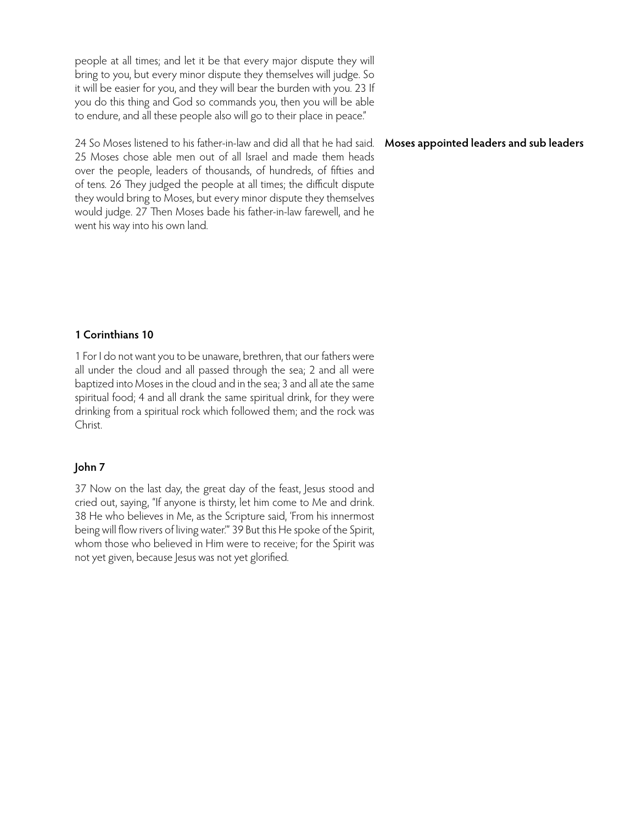people at all times; and let it be that every major dispute they will bring to you, but every minor dispute they themselves will judge. So it will be easier for you, and they will bear the burden with you. 23 If you do this thing and God so commands you, then you will be able to endure, and all these people also will go to their place in peace."

24 So Moses listened to his father-in-law and did all that he had said. 25 Moses chose able men out of all Israel and made them heads over the people, leaders of thousands, of hundreds, of fifties and of tens. 26 They judged the people at all times; the difficult dispute they would bring to Moses, but every minor dispute they themselves would judge. 27 Then Moses bade his father-in-law farewell, and he went his way into his own land.

## **Moses appointed leaders and sub leaders**

# **1 Corinthians 10**

1 For I do not want you to be unaware, brethren, that our fathers were all under the cloud and all passed through the sea; 2 and all were baptized into Moses in the cloud and in the sea; 3 and all ate the same spiritual food; 4 and all drank the same spiritual drink, for they were drinking from a spiritual rock which followed them; and the rock was Christ.

## **John 7**

37 Now on the last day, the great day of the feast, Jesus stood and cried out, saying, "If anyone is thirsty, let him come to Me and drink. 38 He who believes in Me, as the Scripture said, 'From his innermost being will flow rivers of living water.'" 39 But this He spoke of the Spirit, whom those who believed in Him were to receive; for the Spirit was not yet given, because Jesus was not yet glorified.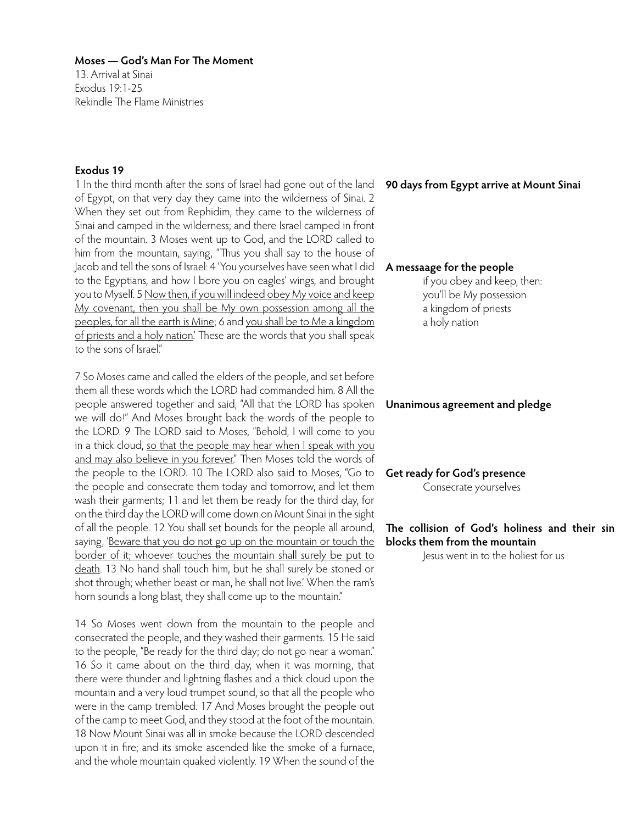13. Arrival at Sinai Exodus 19:1-25 Rekindle The Flame Ministries

# **Exodus 19**

1 In the third month after the sons of Israel had gone out of the land of Egypt, on that very day they came into the wilderness of Sinai. 2 When they set out from Rephidim, they came to the wilderness of Sinai and camped in the wilderness; and there Israel camped in front of the mountain. 3 Moses went up to God, and the LORD called to him from the mountain, saying, "Thus you shall say to the house of Jacob and tell the sons of Israel: 4 'You yourselves have seen what I did to the Egyptians, and how I bore you on eagles' wings, and brought you to Myself. 5 Now then, if you will indeed obey My voice and keep My covenant, then you shall be My own possession among all the peoples, for all the earth is Mine; 6 and you shall be to Me a kingdom of priests and a holy nation.' These are the words that you shall speak to the sons of Israel"

7 So Moses came and called the elders of the people, and set before them all these words which the LORD had commanded him. 8 All the people answered together and said, "All that the LORD has spoken we will do!" And Moses brought back the words of the people to the LORD. 9 The LORD said to Moses, "Behold, I will come to you in a thick cloud, so that the people may hear when I speak with you and may also believe in you forever." Then Moses told the words of the people to the LORD. 10 The LORD also said to Moses, "Go to the people and consecrate them today and tomorrow, and let them wash their garments; 11 and let them be ready for the third day, for on the third day the LORD will come down on Mount Sinai in the sight of all the people. 12 You shall set bounds for the people all around, saying, 'Beware that you do not go up on the mountain or touch the border of it; whoever touches the mountain shall surely be put to death. 13 No hand shall touch him, but he shall surely be stoned or shot through; whether beast or man, he shall not live.' When the ram's horn sounds a long blast, they shall come up to the mountain."

14 So Moses went down from the mountain to the people and consecrated the people, and they washed their garments. 15 He said to the people, "Be ready for the third day; do not go near a woman." 16 So it came about on the third day, when it was morning, that there were thunder and lightning flashes and a thick cloud upon the mountain and a very loud trumpet sound, so that all the people who were in the camp trembled. 17 And Moses brought the people out of the camp to meet God, and they stood at the foot of the mountain. 18 Now Mount Sinai was all in smoke because the LORD descended upon it in fire; and its smoke ascended like the smoke of a furnace, and the whole mountain quaked violently. 19 When the sound of the

## **90 days from Egypt arrive at Mount Sinai**

## **A messaage for the people**

if you obey and keep, then: you'll be My possession a kingdom of priests a holy nation

## **Unanimous agreement and pledge**

**Get ready for God's presence** Consecrate yourselves

# **The collision of God's holiness and their sin blocks them from the mountain**

Jesus went in to the holiest for us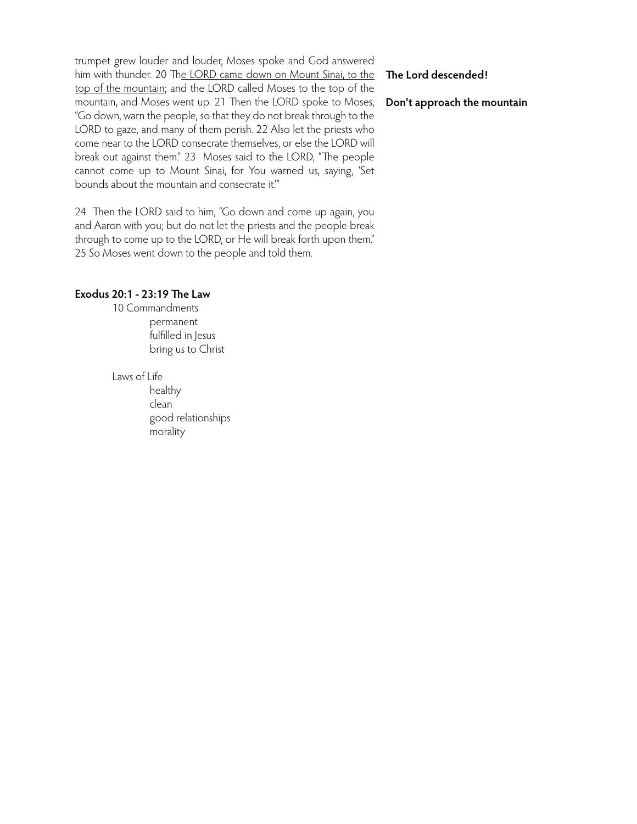trumpet grew louder and louder, Moses spoke and God answered him with thunder. 20 The LORD came down on Mount Sinai, to the top of the mountain; and the LORD called Moses to the top of the mountain, and Moses went up. 21 Then the LORD spoke to Moses, "Go down, warn the people, so that they do not break through to the LORD to gaze, and many of them perish. 22 Also let the priests who come near to the LORD consecrate themselves, or else the LORD will break out against them." 23 Moses said to the LORD, "The people cannot come up to Mount Sinai, for You warned us, saying, 'Set bounds about the mountain and consecrate it.'"

24 Then the LORD said to him, "Go down and come up again, you and Aaron with you; but do not let the priests and the people break through to come up to the LORD, or He will break forth upon them." 25 So Moses went down to the people and told them.

# **Exodus 20:1 - 23:19 The Law**

10 Commandments permanent fulfilled in Jesus bring us to Christ

Laws of Life

 healthy clean good relationships morality

# **The Lord descended!**

**Don't approach the mountain**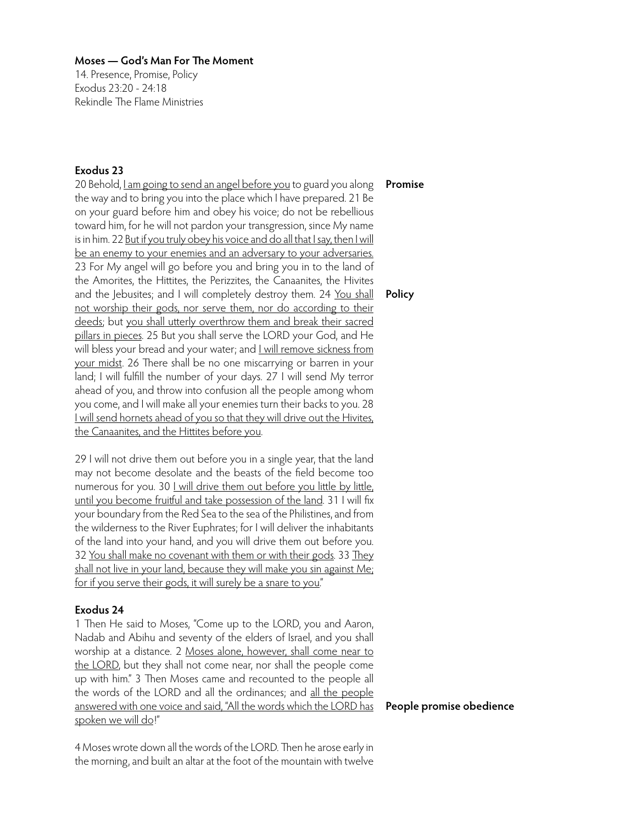14. Presence, Promise, Policy Exodus 23:20 - 24:18 Rekindle The Flame Ministries

# **Exodus 23**

20 Behold, I am going to send an angel before you to guard you along the way and to bring you into the place which I have prepared. 21 Be on your guard before him and obey his voice; do not be rebellious toward him, for he will not pardon your transgression, since My name is in him. 22 But if you truly obey his voice and do all that I say, then I will be an enemy to your enemies and an adversary to your adversaries. 23 For My angel will go before you and bring you in to the land of the Amorites, the Hittites, the Perizzites, the Canaanites, the Hivites and the Jebusites; and I will completely destroy them. 24 You shall not worship their gods, nor serve them, nor do according to their deeds; but you shall utterly overthrow them and break their sacred pillars in pieces. 25 But you shall serve the LORD your God, and He will bless your bread and your water; and **Lwill remove sickness from** your midst. 26 There shall be no one miscarrying or barren in your land; I will fulfill the number of your days. 27 I will send My terror ahead of you, and throw into confusion all the people among whom you come, and I will make all your enemies turn their backs to you. 28 I will send hornets ahead of you so that they will drive out the Hivites, the Canaanites, and the Hittites before you.

29 I will not drive them out before you in a single year, that the land may not become desolate and the beasts of the field become too numerous for you. 30 <u>I will drive them out before you little by little</u>, until you become fruitful and take possession of the land. 31 I will fix your boundary from the Red Sea to the sea of the Philistines, and from the wilderness to the River Euphrates; for I will deliver the inhabitants of the land into your hand, and you will drive them out before you. 32 You shall make no covenant with them or with their gods. 33 They shall not live in your land, because they will make you sin against Me; for if you serve their gods, it will surely be a snare to you."

# **Exodus 24**

1 Then He said to Moses, "Come up to the LORD, you and Aaron, Nadab and Abihu and seventy of the elders of Israel, and you shall worship at a distance. 2 Moses alone, however, shall come near to the LORD, but they shall not come near, nor shall the people come up with him." 3 Then Moses came and recounted to the people all the words of the LORD and all the ordinances; and all the people answered with one voice and said, "All the words which the LORD has spoken we will do!"

# **Promise**

**Policy**

4 Moses wrote down all the words of the LORD. Then he arose early in the morning, and built an altar at the foot of the mountain with twelve

**People promise obedience**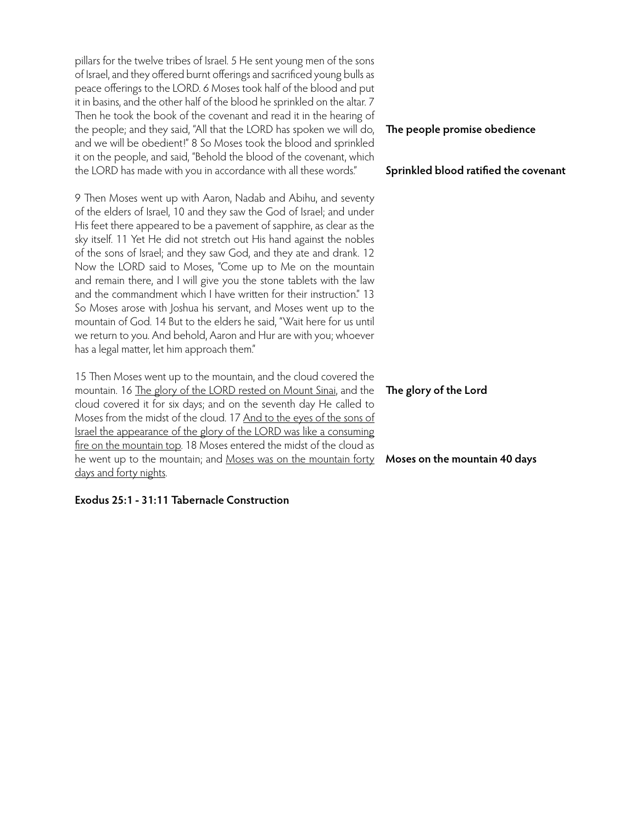pillars for the twelve tribes of Israel. 5 He sent young men of the sons of Israel, and they offered burnt offerings and sacrificed young bulls as peace offerings to the LORD. 6 Moses took half of the blood and put it in basins, and the other half of the blood he sprinkled on the altar. 7 Then he took the book of the covenant and read it in the hearing of the people; and they said, "All that the LORD has spoken we will do, and we will be obedient!" 8 So Moses took the blood and sprinkled it on the people, and said, "Behold the blood of the covenant, which the LORD has made with you in accordance with all these words."

9 Then Moses went up with Aaron, Nadab and Abihu, and seventy of the elders of Israel, 10 and they saw the God of Israel; and under His feet there appeared to be a pavement of sapphire, as clear as the sky itself. 11 Yet He did not stretch out His hand against the nobles of the sons of Israel; and they saw God, and they ate and drank. 12 Now the LORD said to Moses, "Come up to Me on the mountain and remain there, and I will give you the stone tablets with the law and the commandment which I have written for their instruction." 13 So Moses arose with Joshua his servant, and Moses went up to the mountain of God. 14 But to the elders he said, "Wait here for us until we return to you. And behold, Aaron and Hur are with you; whoever has a legal matter, let him approach them."

15 Then Moses went up to the mountain, and the cloud covered the mountain. 16 The glory of the LORD rested on Mount Sinai, and the cloud covered it for six days; and on the seventh day He called to Moses from the midst of the cloud. 17 And to the eyes of the sons of Israel the appearance of the glory of the LORD was like a consuming fire on the mountain top. 18 Moses entered the midst of the cloud as he went up to the mountain; and Moses was on the mountain forty **Moses on the mountain 40 days**days and forty nights.

# **Exodus 25:1 - 31:11 Tabernacle Construction**

# **The people promise obedience**

## **Sprinkled blood ratified the covenant**

## **The glory of the Lord**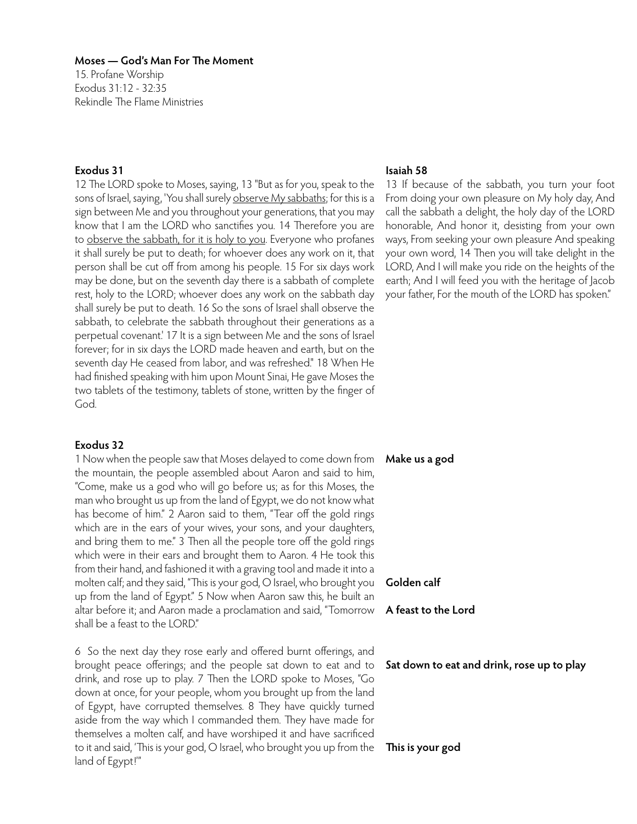15. Profane Worship Exodus 31:12 - 32:35 Rekindle The Flame Ministries

# **Exodus 31**

12 The LORD spoke to Moses, saying, 13 "But as for you, speak to the sons of Israel, saying, 'You shall surely observe My sabbaths; for this is a sign between Me and you throughout your generations, that you may know that I am the LORD who sanctifies you. 14 Therefore you are to observe the sabbath, for it is holy to you. Everyone who profanes it shall surely be put to death; for whoever does any work on it, that person shall be cut off from among his people. 15 For six days work may be done, but on the seventh day there is a sabbath of complete rest, holy to the LORD; whoever does any work on the sabbath day shall surely be put to death. 16 So the sons of Israel shall observe the sabbath, to celebrate the sabbath throughout their generations as a perpetual covenant.' 17 It is a sign between Me and the sons of Israel forever; for in six days the LORD made heaven and earth, but on the seventh day He ceased from labor, and was refreshed." 18 When He had finished speaking with him upon Mount Sinai, He gave Moses the two tablets of the testimony, tablets of stone, written by the finger of God.

## **Exodus 32**

1 Now when the people saw that Moses delayed to come down from the mountain, the people assembled about Aaron and said to him, "Come, make us a god who will go before us; as for this Moses, the man who brought us up from the land of Egypt, we do not know what has become of him." 2 Aaron said to them, "Tear off the gold rings which are in the ears of your wives, your sons, and your daughters, and bring them to me." 3 Then all the people tore off the gold rings which were in their ears and brought them to Aaron. 4 He took this from their hand, and fashioned it with a graving tool and made it into a molten calf; and they said, "This is your god, O Israel, who brought you up from the land of Egypt." 5 Now when Aaron saw this, he built an altar before it; and Aaron made a proclamation and said, "Tomorrow shall be a feast to the LORD."

6 So the next day they rose early and offered burnt offerings, and brought peace offerings; and the people sat down to eat and to drink, and rose up to play. 7 Then the LORD spoke to Moses, "Go down at once, for your people, whom you brought up from the land of Egypt, have corrupted themselves. 8 They have quickly turned aside from the way which I commanded them. They have made for themselves a molten calf, and have worshiped it and have sacrificed to it and said, 'This is your god, O Israel, who brought you up from the land of Egypt!'"

## **Isaiah 58**

13 If because of the sabbath, you turn your foot From doing your own pleasure on My holy day, And call the sabbath a delight, the holy day of the LORD honorable, And honor it, desisting from your own ways, From seeking your own pleasure And speaking your own word, 14 Then you will take delight in the LORD, And I will make you ride on the heights of the earth; And I will feed you with the heritage of Jacob your father, For the mouth of the LORD has spoken."

#### **Make us a god**

## **Golden calf**

#### **A feast to the Lord**

## **Sat down to eat and drink, rose up to play**

**This is your god**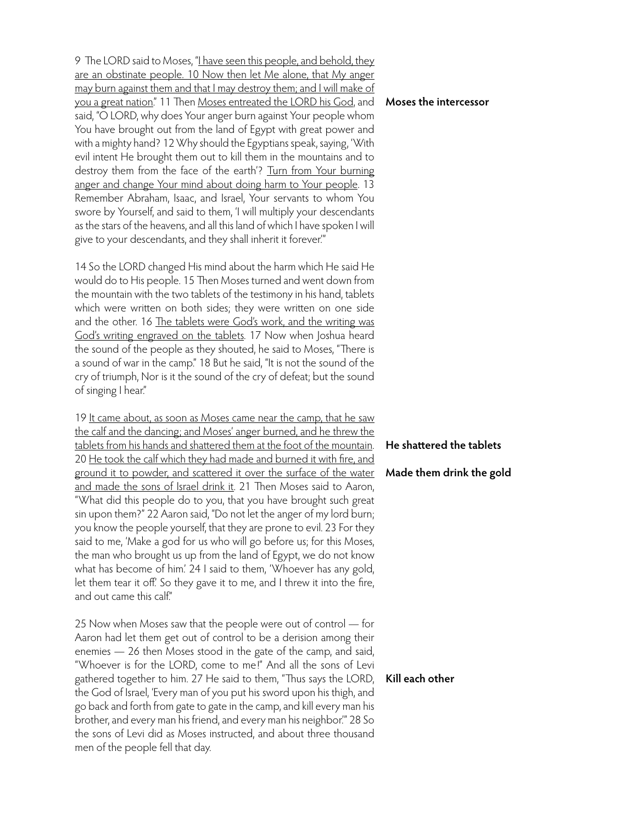9 The LORD said to Moses, "I have seen this people, and behold, they are an obstinate people. 10 Now then let Me alone, that My anger may burn against them and that I may destroy them; and I will make of you a great nation." 11 Then Moses entreated the LORD his God, and said, "O LORD, why does Your anger burn against Your people whom You have brought out from the land of Egypt with great power and with a mighty hand? 12 Why should the Egyptians speak, saying, 'With evil intent He brought them out to kill them in the mountains and to destroy them from the face of the earth'? Turn from Your burning anger and change Your mind about doing harm to Your people. 13 Remember Abraham, Isaac, and Israel, Your servants to whom You swore by Yourself, and said to them, 'I will multiply your descendants as the stars of the heavens, and all this land of which I have spoken I will give to your descendants, and they shall inherit it forever.'"

14 So the LORD changed His mind about the harm which He said He would do to His people. 15 Then Moses turned and went down from the mountain with the two tablets of the testimony in his hand, tablets which were written on both sides; they were written on one side and the other. 16 The tablets were God's work, and the writing was God's writing engraved on the tablets. 17 Now when Joshua heard the sound of the people as they shouted, he said to Moses, "There is a sound of war in the camp." 18 But he said, "It is not the sound of the cry of triumph, Nor is it the sound of the cry of defeat; but the sound of singing I hear."

19 It came about, as soon as Moses came near the camp, that he saw the calf and the dancing; and Moses' anger burned, and he threw the tablets from his hands and shattered them at the foot of the mountain. 20 He took the calf which they had made and burned it with fire, and ground it to powder, and scattered it over the surface of the water and made the sons of Israel drink it. 21 Then Moses said to Aaron, "What did this people do to you, that you have brought such great sin upon them?" 22 Aaron said, "Do not let the anger of my lord burn; you know the people yourself, that they are prone to evil. 23 For they said to me, 'Make a god for us who will go before us; for this Moses, the man who brought us up from the land of Egypt, we do not know what has become of him.' 24 I said to them, 'Whoever has any gold, let them tear it off. So they gave it to me, and I threw it into the fire, and out came this calf."

25 Now when Moses saw that the people were out of control — for Aaron had let them get out of control to be a derision among their enemies — 26 then Moses stood in the gate of the camp, and said, "Whoever is for the LORD, come to me!" And all the sons of Levi gathered together to him. 27 He said to them, "Thus says the LORD, the God of Israel, 'Every man of you put his sword upon his thigh, and go back and forth from gate to gate in the camp, and kill every man his brother, and every man his friend, and every man his neighbor.'" 28 So the sons of Levi did as Moses instructed, and about three thousand men of the people fell that day.

## **Moses the intercessor**

## **He shattered the tablets**

## **Made them drink the gold**

# **Kill each other**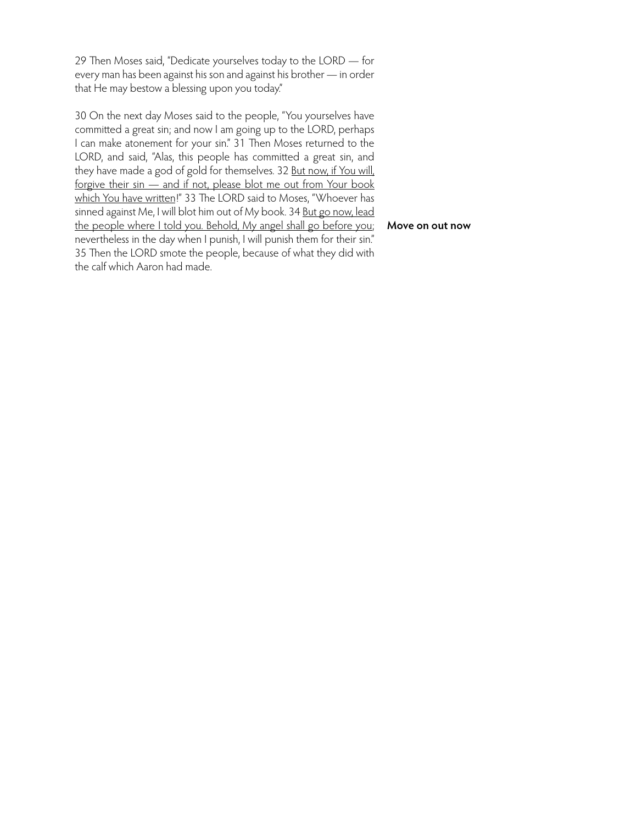29 Then Moses said, "Dedicate yourselves today to the LORD — for every man has been against his son and against his brother — in order that He may bestow a blessing upon you today."

30 On the next day Moses said to the people, "You yourselves have committed a great sin; and now I am going up to the LORD, perhaps I can make atonement for your sin." 31 Then Moses returned to the LORD, and said, "Alas, this people has committed a great sin, and they have made a god of gold for themselves. 32 But now, if You will, forgive their sin — and if not, please blot me out from Your book which You have written!" 33 The LORD said to Moses, "Whoever has sinned against Me, I will blot him out of My book. 34 But go now, lead the people where I told you. Behold, My angel shall go before you; **Move on out now**nevertheless in the day when I punish, I will punish them for their sin." 35 Then the LORD smote the people, because of what they did with the calf which Aaron had made.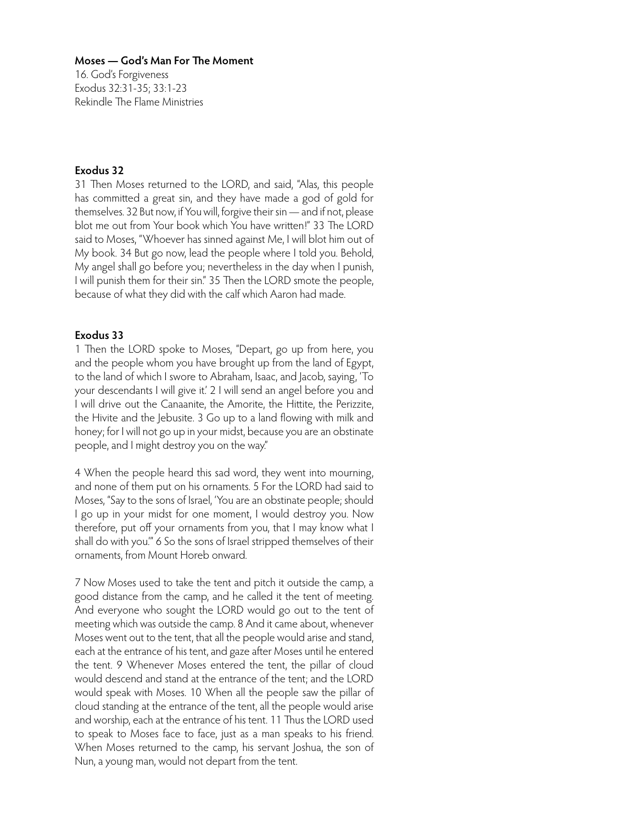16. God's Forgiveness Exodus 32:31-35; 33:1-23 Rekindle The Flame Ministries

# **Exodus 32**

31 Then Moses returned to the LORD, and said, "Alas, this people has committed a great sin, and they have made a god of gold for themselves. 32 But now, if You will, forgive their sin — and if not, please blot me out from Your book which You have written!" 33 The LORD said to Moses, "Whoever has sinned against Me, I will blot him out of My book. 34 But go now, lead the people where I told you. Behold, My angel shall go before you; nevertheless in the day when I punish, I will punish them for their sin." 35 Then the LORD smote the people, because of what they did with the calf which Aaron had made.

## **Exodus 33**

1 Then the LORD spoke to Moses, "Depart, go up from here, you and the people whom you have brought up from the land of Egypt, to the land of which I swore to Abraham, Isaac, and Jacob, saying, 'To your descendants I will give it.' 2 I will send an angel before you and I will drive out the Canaanite, the Amorite, the Hittite, the Perizzite, the Hivite and the Jebusite. 3 Go up to a land flowing with milk and honey; for I will not go up in your midst, because you are an obstinate people, and I might destroy you on the way."

4 When the people heard this sad word, they went into mourning, and none of them put on his ornaments. 5 For the LORD had said to Moses, "Say to the sons of Israel, 'You are an obstinate people; should I go up in your midst for one moment, I would destroy you. Now therefore, put off your ornaments from you, that I may know what I shall do with you.'" 6 So the sons of Israel stripped themselves of their ornaments, from Mount Horeb onward.

7 Now Moses used to take the tent and pitch it outside the camp, a good distance from the camp, and he called it the tent of meeting. And everyone who sought the LORD would go out to the tent of meeting which was outside the camp. 8 And it came about, whenever Moses went out to the tent, that all the people would arise and stand, each at the entrance of his tent, and gaze after Moses until he entered the tent. 9 Whenever Moses entered the tent, the pillar of cloud would descend and stand at the entrance of the tent; and the LORD would speak with Moses. 10 When all the people saw the pillar of cloud standing at the entrance of the tent, all the people would arise and worship, each at the entrance of his tent. 11 Thus the LORD used to speak to Moses face to face, just as a man speaks to his friend. When Moses returned to the camp, his servant Joshua, the son of Nun, a young man, would not depart from the tent.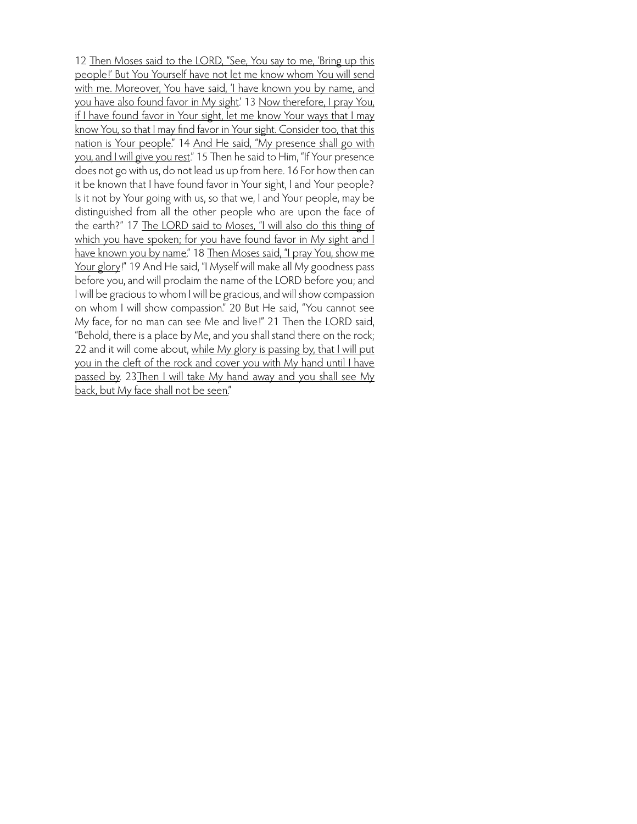12 Then Moses said to the LORD, "See, You say to me, 'Bring up this people!' But You Yourself have not let me know whom You will send with me. Moreover, You have said, 'I have known you by name, and you have also found favor in My sight.' 13 Now therefore, I pray You, if I have found favor in Your sight, let me know Your ways that I may know You, so that I may find favor in Your sight. Consider too, that this nation is Your people." 14 And He said, "My presence shall go with you, and I will give you rest." 15 Then he said to Him, "If Your presence does not go with us, do not lead us up from here. 16 For how then can it be known that I have found favor in Your sight, I and Your people? Is it not by Your going with us, so that we, I and Your people, may be distinguished from all the other people who are upon the face of the earth?" 17 The LORD said to Moses, "I will also do this thing of which you have spoken; for you have found favor in My sight and I have known you by name." 18 Then Moses said, "I pray You, show me Your glory!" 19 And He said, "I Myself will make all My goodness pass before you, and will proclaim the name of the LORD before you; and I will be gracious to whom I will be gracious, and will show compassion on whom I will show compassion." 20 But He said, "You cannot see My face, for no man can see Me and live!" 21 Then the LORD said, "Behold, there is a place by Me, and you shall stand there on the rock; 22 and it will come about, while My glory is passing by, that I will put you in the cleft of the rock and cover you with My hand until I have passed by. 23Then I will take My hand away and you shall see My back, but My face shall not be seen."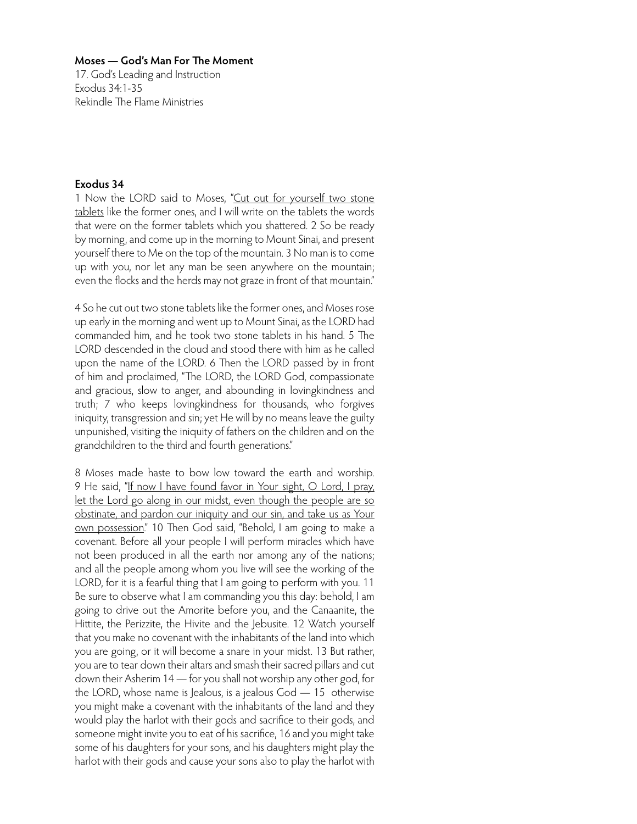17. God's Leading and Instruction Exodus 34:1-35 Rekindle The Flame Ministries

## **Exodus 34**

1 Now the LORD said to Moses, "Cut out for yourself two stone tablets like the former ones, and I will write on the tablets the words that were on the former tablets which you shattered. 2 So be ready by morning, and come up in the morning to Mount Sinai, and present yourself there to Me on the top of the mountain. 3 No man is to come up with you, nor let any man be seen anywhere on the mountain; even the flocks and the herds may not graze in front of that mountain."

4 So he cut out two stone tablets like the former ones, and Moses rose up early in the morning and went up to Mount Sinai, as the LORD had commanded him, and he took two stone tablets in his hand. 5 The LORD descended in the cloud and stood there with him as he called upon the name of the LORD. 6 Then the LORD passed by in front of him and proclaimed, "The LORD, the LORD God, compassionate and gracious, slow to anger, and abounding in lovingkindness and truth; 7 who keeps lovingkindness for thousands, who forgives iniquity, transgression and sin; yet He will by no means leave the guilty unpunished, visiting the iniquity of fathers on the children and on the grandchildren to the third and fourth generations."

8 Moses made haste to bow low toward the earth and worship. 9 He said, "If now I have found favor in Your sight, O Lord, I pray, let the Lord go along in our midst, even though the people are so obstinate, and pardon our iniquity and our sin, and take us as Your own possession." 10 Then God said, "Behold, I am going to make a covenant. Before all your people I will perform miracles which have not been produced in all the earth nor among any of the nations; and all the people among whom you live will see the working of the LORD, for it is a fearful thing that I am going to perform with you. 11 Be sure to observe what I am commanding you this day: behold, I am going to drive out the Amorite before you, and the Canaanite, the Hittite, the Perizzite, the Hivite and the Jebusite. 12 Watch yourself that you make no covenant with the inhabitants of the land into which you are going, or it will become a snare in your midst. 13 But rather, you are to tear down their altars and smash their sacred pillars and cut down their Asherim 14 — for you shall not worship any other god, for the LORD, whose name is Jealous, is a jealous God — 15 otherwise you might make a covenant with the inhabitants of the land and they would play the harlot with their gods and sacrifice to their gods, and someone might invite you to eat of his sacrifice, 16 and you might take some of his daughters for your sons, and his daughters might play the harlot with their gods and cause your sons also to play the harlot with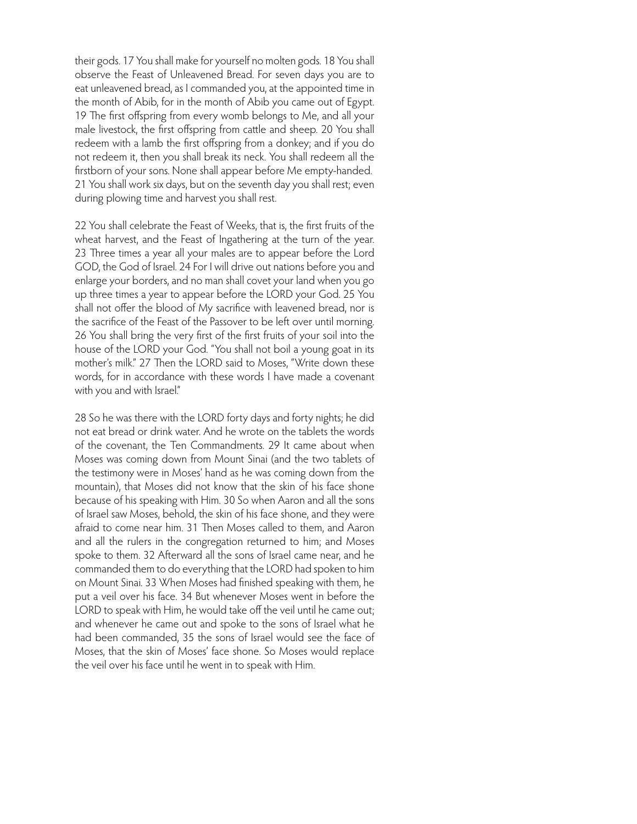their gods. 17 You shall make for yourself no molten gods. 18 You shall observe the Feast of Unleavened Bread. For seven days you are to eat unleavened bread, as I commanded you, at the appointed time in the month of Abib, for in the month of Abib you came out of Egypt. 19 The first offspring from every womb belongs to Me, and all your male livestock, the first offspring from cattle and sheep. 20 You shall redeem with a lamb the first offspring from a donkey; and if you do not redeem it, then you shall break its neck. You shall redeem all the firstborn of your sons. None shall appear before Me empty-handed. 21 You shall work six days, but on the seventh day you shall rest; even during plowing time and harvest you shall rest.

22 You shall celebrate the Feast of Weeks, that is, the first fruits of the wheat harvest, and the Feast of Ingathering at the turn of the year. 23 Three times a year all your males are to appear before the Lord GOD, the God of Israel. 24 For I will drive out nations before you and enlarge your borders, and no man shall covet your land when you go up three times a year to appear before the LORD your God. 25 You shall not offer the blood of My sacrifice with leavened bread, nor is the sacrifice of the Feast of the Passover to be left over until morning. 26 You shall bring the very first of the first fruits of your soil into the house of the LORD your God. "You shall not boil a young goat in its mother's milk." 27 Then the LORD said to Moses, "Write down these words, for in accordance with these words I have made a covenant with you and with Israel."

28 So he was there with the LORD forty days and forty nights; he did not eat bread or drink water. And he wrote on the tablets the words of the covenant, the Ten Commandments. 29 It came about when Moses was coming down from Mount Sinai (and the two tablets of the testimony were in Moses' hand as he was coming down from the mountain), that Moses did not know that the skin of his face shone because of his speaking with Him. 30 So when Aaron and all the sons of Israel saw Moses, behold, the skin of his face shone, and they were afraid to come near him. 31 Then Moses called to them, and Aaron and all the rulers in the congregation returned to him; and Moses spoke to them. 32 Afterward all the sons of Israel came near, and he commanded them to do everything that the LORD had spoken to him on Mount Sinai. 33 When Moses had finished speaking with them, he put a veil over his face. 34 But whenever Moses went in before the LORD to speak with Him, he would take off the veil until he came out; and whenever he came out and spoke to the sons of Israel what he had been commanded, 35 the sons of Israel would see the face of Moses, that the skin of Moses' face shone. So Moses would replace the veil over his face until he went in to speak with Him.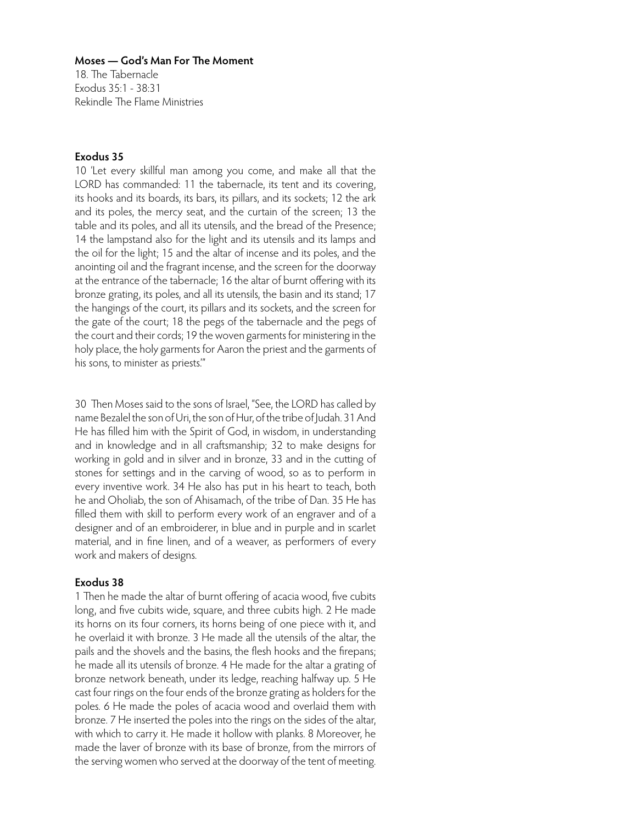18. The Tabernacle Exodus 35:1 - 38:31 Rekindle The Flame Ministries

# **Exodus 35**

10 'Let every skillful man among you come, and make all that the LORD has commanded: 11 the tabernacle, its tent and its covering, its hooks and its boards, its bars, its pillars, and its sockets; 12 the ark and its poles, the mercy seat, and the curtain of the screen; 13 the table and its poles, and all its utensils, and the bread of the Presence; 14 the lampstand also for the light and its utensils and its lamps and the oil for the light; 15 and the altar of incense and its poles, and the anointing oil and the fragrant incense, and the screen for the doorway at the entrance of the tabernacle; 16 the altar of burnt offering with its bronze grating, its poles, and all its utensils, the basin and its stand; 17 the hangings of the court, its pillars and its sockets, and the screen for the gate of the court; 18 the pegs of the tabernacle and the pegs of the court and their cords; 19 the woven garments for ministering in the holy place, the holy garments for Aaron the priest and the garments of his sons, to minister as priests.'"

30 Then Moses said to the sons of Israel, "See, the LORD has called by name Bezalel the son of Uri, the son of Hur, of the tribe of Judah. 31 And He has filled him with the Spirit of God, in wisdom, in understanding and in knowledge and in all craftsmanship; 32 to make designs for working in gold and in silver and in bronze, 33 and in the cutting of stones for settings and in the carving of wood, so as to perform in every inventive work. 34 He also has put in his heart to teach, both he and Oholiab, the son of Ahisamach, of the tribe of Dan. 35 He has filled them with skill to perform every work of an engraver and of a designer and of an embroiderer, in blue and in purple and in scarlet material, and in fine linen, and of a weaver, as performers of every work and makers of designs.

# **Exodus 38**

1 Then he made the altar of burnt offering of acacia wood, five cubits long, and five cubits wide, square, and three cubits high. 2 He made its horns on its four corners, its horns being of one piece with it, and he overlaid it with bronze. 3 He made all the utensils of the altar, the pails and the shovels and the basins, the flesh hooks and the firepans; he made all its utensils of bronze. 4 He made for the altar a grating of bronze network beneath, under its ledge, reaching halfway up. 5 He cast four rings on the four ends of the bronze grating as holders for the poles. 6 He made the poles of acacia wood and overlaid them with bronze. 7 He inserted the poles into the rings on the sides of the altar, with which to carry it. He made it hollow with planks. 8 Moreover, he made the laver of bronze with its base of bronze, from the mirrors of the serving women who served at the doorway of the tent of meeting.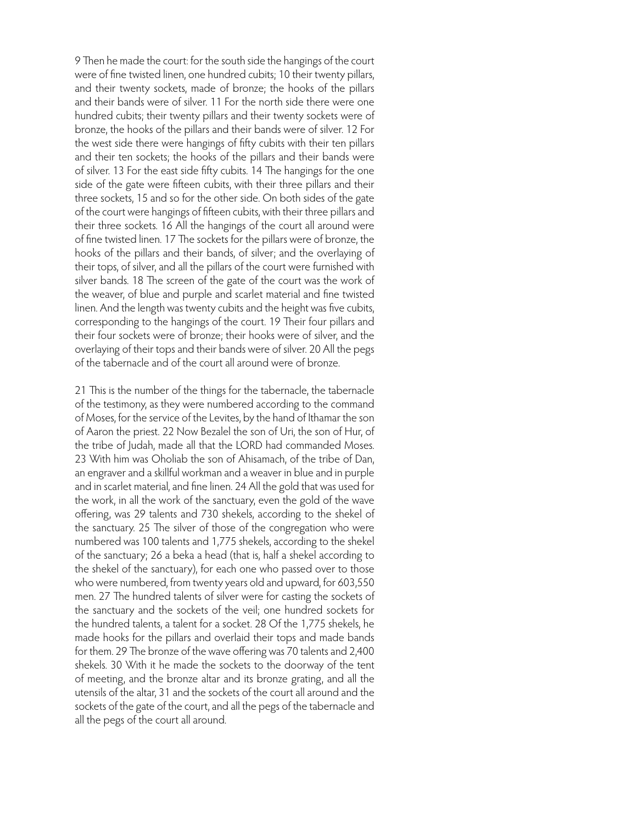9 Then he made the court: for the south side the hangings of the court were of fine twisted linen, one hundred cubits; 10 their twenty pillars, and their twenty sockets, made of bronze; the hooks of the pillars and their bands were of silver. 11 For the north side there were one hundred cubits; their twenty pillars and their twenty sockets were of bronze, the hooks of the pillars and their bands were of silver. 12 For the west side there were hangings of fifty cubits with their ten pillars and their ten sockets; the hooks of the pillars and their bands were of silver. 13 For the east side fifty cubits. 14 The hangings for the one side of the gate were fifteen cubits, with their three pillars and their three sockets, 15 and so for the other side. On both sides of the gate of the court were hangings of fifteen cubits, with their three pillars and their three sockets. 16 All the hangings of the court all around were of fine twisted linen. 17 The sockets for the pillars were of bronze, the hooks of the pillars and their bands, of silver; and the overlaying of their tops, of silver, and all the pillars of the court were furnished with silver bands. 18 The screen of the gate of the court was the work of the weaver, of blue and purple and scarlet material and fine twisted linen. And the length was twenty cubits and the height was five cubits, corresponding to the hangings of the court. 19 Their four pillars and their four sockets were of bronze; their hooks were of silver, and the overlaying of their tops and their bands were of silver. 20 All the pegs of the tabernacle and of the court all around were of bronze.

21 This is the number of the things for the tabernacle, the tabernacle of the testimony, as they were numbered according to the command of Moses, for the service of the Levites, by the hand of Ithamar the son of Aaron the priest. 22 Now Bezalel the son of Uri, the son of Hur, of the tribe of Judah, made all that the LORD had commanded Moses. 23 With him was Oholiab the son of Ahisamach, of the tribe of Dan, an engraver and a skillful workman and a weaver in blue and in purple and in scarlet material, and fine linen. 24 All the gold that was used for the work, in all the work of the sanctuary, even the gold of the wave offering, was 29 talents and 730 shekels, according to the shekel of the sanctuary. 25 The silver of those of the congregation who were numbered was 100 talents and 1,775 shekels, according to the shekel of the sanctuary; 26 a beka a head (that is, half a shekel according to the shekel of the sanctuary), for each one who passed over to those who were numbered, from twenty years old and upward, for 603,550 men. 27 The hundred talents of silver were for casting the sockets of the sanctuary and the sockets of the veil; one hundred sockets for the hundred talents, a talent for a socket. 28 Of the 1,775 shekels, he made hooks for the pillars and overlaid their tops and made bands for them. 29 The bronze of the wave offering was 70 talents and 2,400 shekels. 30 With it he made the sockets to the doorway of the tent of meeting, and the bronze altar and its bronze grating, and all the utensils of the altar, 31 and the sockets of the court all around and the sockets of the gate of the court, and all the pegs of the tabernacle and all the pegs of the court all around.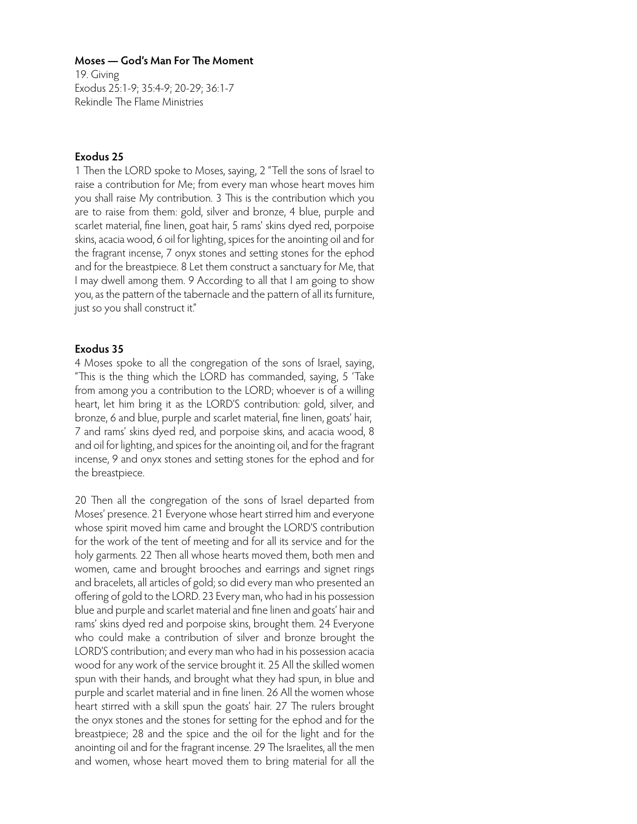19. Giving Exodus 25:1-9; 35:4-9; 20-29; 36:1-7 Rekindle The Flame Ministries

# **Exodus 25**

1 Then the LORD spoke to Moses, saying, 2 "Tell the sons of Israel to raise a contribution for Me; from every man whose heart moves him you shall raise My contribution. 3 This is the contribution which you are to raise from them: gold, silver and bronze, 4 blue, purple and scarlet material, fine linen, goat hair, 5 rams' skins dyed red, porpoise skins, acacia wood, 6 oil for lighting, spices for the anointing oil and for the fragrant incense, 7 onyx stones and setting stones for the ephod and for the breastpiece. 8 Let them construct a sanctuary for Me, that I may dwell among them. 9 According to all that I am going to show you, as the pattern of the tabernacle and the pattern of all its furniture, just so you shall construct it."

# **Exodus 35**

4 Moses spoke to all the congregation of the sons of Israel, saying, "This is the thing which the LORD has commanded, saying, 5 'Take from among you a contribution to the LORD; whoever is of a willing heart, let him bring it as the LORD'S contribution: gold, silver, and bronze, 6 and blue, purple and scarlet material, fine linen, goats' hair, 7 and rams' skins dyed red, and porpoise skins, and acacia wood, 8 and oil for lighting, and spices for the anointing oil, and for the fragrant incense, 9 and onyx stones and setting stones for the ephod and for the breastpiece.

20 Then all the congregation of the sons of Israel departed from Moses' presence. 21 Everyone whose heart stirred him and everyone whose spirit moved him came and brought the LORD'S contribution for the work of the tent of meeting and for all its service and for the holy garments. 22 Then all whose hearts moved them, both men and women, came and brought brooches and earrings and signet rings and bracelets, all articles of gold; so did every man who presented an offering of gold to the LORD. 23 Every man, who had in his possession blue and purple and scarlet material and fine linen and goats' hair and rams' skins dyed red and porpoise skins, brought them. 24 Everyone who could make a contribution of silver and bronze brought the LORD'S contribution; and every man who had in his possession acacia wood for any work of the service brought it. 25 All the skilled women spun with their hands, and brought what they had spun, in blue and purple and scarlet material and in fine linen. 26 All the women whose heart stirred with a skill spun the goats' hair. 27 The rulers brought the onyx stones and the stones for setting for the ephod and for the breastpiece; 28 and the spice and the oil for the light and for the anointing oil and for the fragrant incense. 29 The Israelites, all the men and women, whose heart moved them to bring material for all the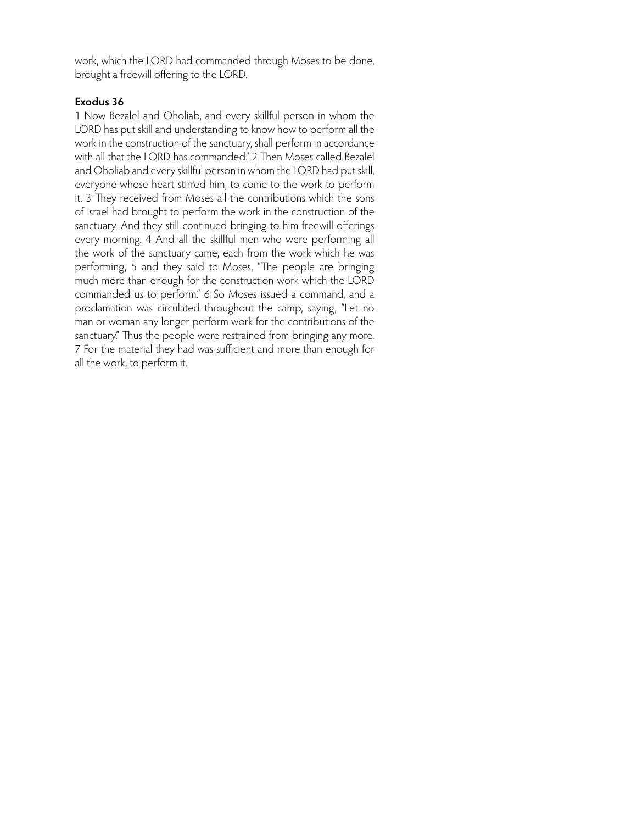work, which the LORD had commanded through Moses to be done, brought a freewill offering to the LORD.

# **Exodus 36**

1 Now Bezalel and Oholiab, and every skillful person in whom the LORD has put skill and understanding to know how to perform all the work in the construction of the sanctuary, shall perform in accordance with all that the LORD has commanded." 2 Then Moses called Bezalel and Oholiab and every skillful person in whom the LORD had put skill, everyone whose heart stirred him, to come to the work to perform it. 3 They received from Moses all the contributions which the sons of Israel had brought to perform the work in the construction of the sanctuary. And they still continued bringing to him freewill offerings every morning. 4 And all the skillful men who were performing all the work of the sanctuary came, each from the work which he was performing, 5 and they said to Moses, "The people are bringing much more than enough for the construction work which the LORD commanded us to perform." 6 So Moses issued a command, and a proclamation was circulated throughout the camp, saying, "Let no man or woman any longer perform work for the contributions of the sanctuary." Thus the people were restrained from bringing any more. 7 For the material they had was sufficient and more than enough for all the work, to perform it.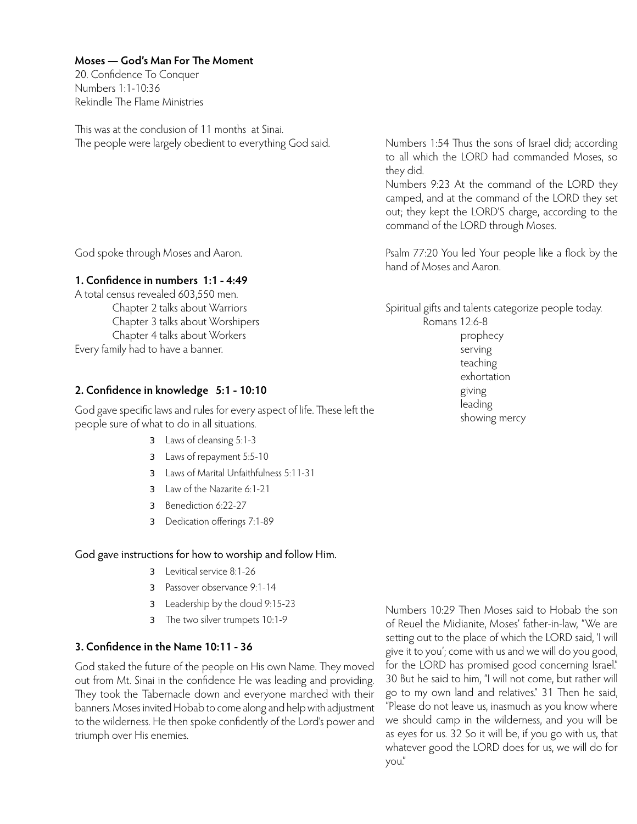20. Confidence To Conquer Numbers 1:1-10:36 Rekindle The Flame Ministries

This was at the conclusion of 11 months at Sinai. The people were largely obedient to everything God said.

Numbers 1:54 Thus the sons of Israel did; according to all which the LORD had commanded Moses, so they did.

Numbers 9:23 At the command of the LORD they camped, and at the command of the LORD they set out; they kept the LORD'S charge, according to the command of the LORD through Moses.

Psalm 77:20 You led Your people like a flock by the hand of Moses and Aaron.

Spiritual gifts and talents categorize people today. Romans 12:6-8 prophecy

 serving teaching exhortation giving leading showing mercy

God spoke through Moses and Aaron.

# **1. Confidence in numbers 1:1 - 4:49**

A total census revealed 603,550 men. Chapter 2 talks about Warriors Chapter 3 talks about Worshipers Chapter 4 talks about Workers Every family had to have a banner.

# **2. Confidence in knowledge 5:1 - 10:10**

God gave specific laws and rules for every aspect of life. These left the people sure of what to do in all situations.

- **3** Laws of cleansing 5:1-3
- **3** Laws of repayment 5:5-10
- **3** Laws of Marital Unfaithfulness 5:11-31
- 3 Law of the Nazarite 6:1-21
- **3** Benediction 6:22-27
- **3** Dedication offerings 7:1-89

# God gave instructions for how to worship and follow Him.

- **3** Levitical service 8:1-26
- **3** Passover observance 9:1-14
- **3** Leadership by the cloud 9:15-23
- **3** The two silver trumpets 10:1-9

# **3. Confidence in the Name 10:11 - 36**

God staked the future of the people on His own Name. They moved out from Mt. Sinai in the confidence He was leading and providing. They took the Tabernacle down and everyone marched with their banners. Moses invited Hobab to come along and help with adjustment to the wilderness. He then spoke confidently of the Lord's power and triumph over His enemies.

Numbers 10:29 Then Moses said to Hobab the son of Reuel the Midianite, Moses' father-in-law, "We are setting out to the place of which the LORD said, 'I will give it to you'; come with us and we will do you good, for the LORD has promised good concerning Israel." 30 But he said to him, "I will not come, but rather will go to my own land and relatives." 31 Then he said, "Please do not leave us, inasmuch as you know where we should camp in the wilderness, and you will be as eyes for us. 32 So it will be, if you go with us, that whatever good the LORD does for us, we will do for you."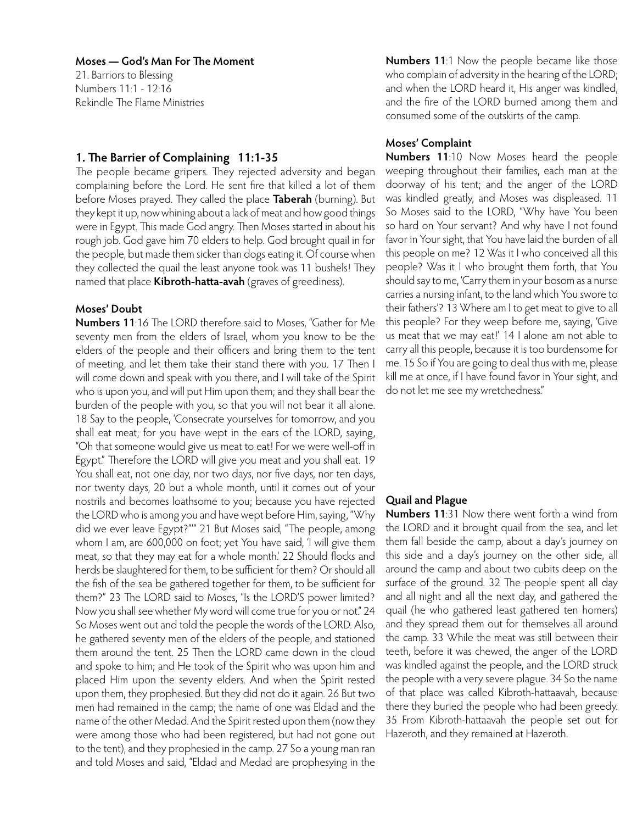21. Barriors to Blessing Numbers 11:1 - 12:16 Rekindle The Flame Ministries

# **1. The Barrier of Complaining 11:1-35**

The people became gripers. They rejected adversity and began complaining before the Lord. He sent fire that killed a lot of them before Moses prayed. They called the place **Taberah** (burning). But they kept it up, now whining about a lack of meat and how good things were in Egypt. This made God angry. Then Moses started in about his rough job. God gave him 70 elders to help. God brought quail in for the people, but made them sicker than dogs eating it. Of course when they collected the quail the least anyone took was 11 bushels! They named that place **Kibroth-hatta-avah** (graves of greediness).

# **Moses' Doubt**

**Numbers 11**:16 The LORD therefore said to Moses, "Gather for Me seventy men from the elders of Israel, whom you know to be the elders of the people and their officers and bring them to the tent of meeting, and let them take their stand there with you. 17 Then I will come down and speak with you there, and I will take of the Spirit who is upon you, and will put Him upon them; and they shall bear the burden of the people with you, so that you will not bear it all alone. 18 Say to the people, 'Consecrate yourselves for tomorrow, and you shall eat meat; for you have wept in the ears of the LORD, saying, "Oh that someone would give us meat to eat! For we were well-off in Egypt." Therefore the LORD will give you meat and you shall eat. 19 You shall eat, not one day, nor two days, nor five days, nor ten days, nor twenty days, 20 but a whole month, until it comes out of your nostrils and becomes loathsome to you; because you have rejected the LORD who is among you and have wept before Him, saying, "Why did we ever leave Egypt?"'" 21 But Moses said, "The people, among whom I am, are 600,000 on foot; yet You have said, 'I will give them meat, so that they may eat for a whole month.' 22 Should flocks and herds be slaughtered for them, to be sufficient for them? Or should all the fish of the sea be gathered together for them, to be sufficient for them?" 23 The LORD said to Moses, "Is the LORD'S power limited? Now you shall see whether My word will come true for you or not." 24 So Moses went out and told the people the words of the LORD. Also, he gathered seventy men of the elders of the people, and stationed them around the tent. 25 Then the LORD came down in the cloud and spoke to him; and He took of the Spirit who was upon him and placed Him upon the seventy elders. And when the Spirit rested upon them, they prophesied. But they did not do it again. 26 But two men had remained in the camp; the name of one was Eldad and the name of the other Medad. And the Spirit rested upon them (now they were among those who had been registered, but had not gone out to the tent), and they prophesied in the camp. 27 So a young man ran and told Moses and said, "Eldad and Medad are prophesying in the

**Numbers 11**:1 Now the people became like those who complain of adversity in the hearing of the LORD; and when the LORD heard it, His anger was kindled, and the fire of the LORD burned among them and consumed some of the outskirts of the camp.

## **Moses' Complaint**

**Numbers 11**:10 Now Moses heard the people weeping throughout their families, each man at the doorway of his tent; and the anger of the LORD was kindled greatly, and Moses was displeased. 11 So Moses said to the LORD, "Why have You been so hard on Your servant? And why have I not found favor in Your sight, that You have laid the burden of all this people on me? 12 Was it I who conceived all this people? Was it I who brought them forth, that You should say to me, 'Carry them in your bosom as a nurse carries a nursing infant, to the land which You swore to their fathers'? 13 Where am I to get meat to give to all this people? For they weep before me, saying, 'Give us meat that we may eat!' 14 I alone am not able to carry all this people, because it is too burdensome for me. 15 So if You are going to deal thus with me, please kill me at once, if I have found favor in Your sight, and do not let me see my wretchedness."

# **Quail and Plague**

**Numbers 11**:31 Now there went forth a wind from the LORD and it brought quail from the sea, and let them fall beside the camp, about a day's journey on this side and a day's journey on the other side, all around the camp and about two cubits deep on the surface of the ground. 32 The people spent all day and all night and all the next day, and gathered the quail (he who gathered least gathered ten homers) and they spread them out for themselves all around the camp. 33 While the meat was still between their teeth, before it was chewed, the anger of the LORD was kindled against the people, and the LORD struck the people with a very severe plague. 34 So the name of that place was called Kibroth-hattaavah, because there they buried the people who had been greedy. 35 From Kibroth-hattaavah the people set out for Hazeroth, and they remained at Hazeroth.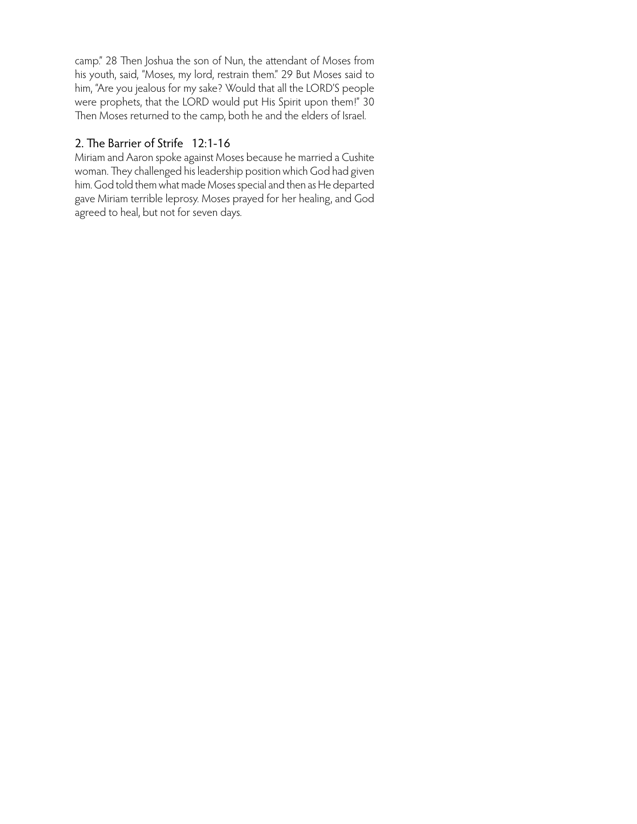camp." 28 Then Joshua the son of Nun, the attendant of Moses from his youth, said, "Moses, my lord, restrain them." 29 But Moses said to him, "Are you jealous for my sake? Would that all the LORD'S people were prophets, that the LORD would put His Spirit upon them!" 30 Then Moses returned to the camp, both he and the elders of Israel.

# 2. The Barrier of Strife 12:1-16

Miriam and Aaron spoke against Moses because he married a Cushite woman. They challenged his leadership position which God had given him. God told them what made Moses special and then as He departed gave Miriam terrible leprosy. Moses prayed for her healing, and God agreed to heal, but not for seven days.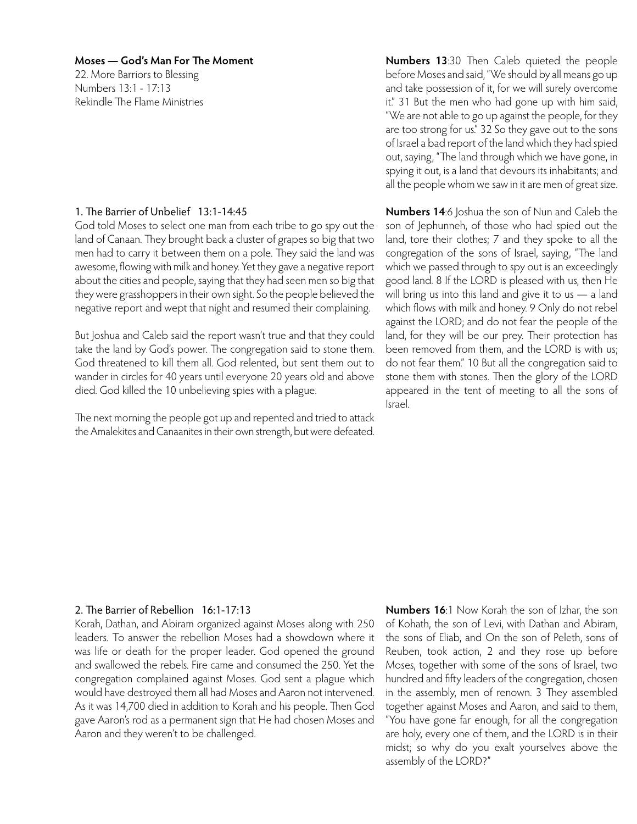22. More Barriors to Blessing Numbers 13:1 - 17:13 Rekindle The Flame Ministries

# 1. The Barrier of Unbelief 13:1-14:45

God told Moses to select one man from each tribe to go spy out the land of Canaan. They brought back a cluster of grapes so big that two men had to carry it between them on a pole. They said the land was awesome, flowing with milk and honey. Yet they gave a negative report about the cities and people, saying that they had seen men so big that they were grasshoppers in their own sight. So the people believed the negative report and wept that night and resumed their complaining.

But Joshua and Caleb said the report wasn't true and that they could take the land by God's power. The congregation said to stone them. God threatened to kill them all. God relented, but sent them out to wander in circles for 40 years until everyone 20 years old and above died. God killed the 10 unbelieving spies with a plague.

The next morning the people got up and repented and tried to attack the Amalekites and Canaanites in their own strength, but were defeated. **Numbers 13**:30 Then Caleb quieted the people before Moses and said, "We should by all means go up and take possession of it, for we will surely overcome it." 31 But the men who had gone up with him said, "We are not able to go up against the people, for they are too strong for us." 32 So they gave out to the sons of Israel a bad report of the land which they had spied out, saying, "The land through which we have gone, in spying it out, is a land that devours its inhabitants; and all the people whom we saw in it are men of great size.

**Numbers 14**:6 Joshua the son of Nun and Caleb the son of Jephunneh, of those who had spied out the land, tore their clothes; 7 and they spoke to all the congregation of the sons of Israel, saying, "The land which we passed through to spy out is an exceedingly good land. 8 If the LORD is pleased with us, then He will bring us into this land and give it to us - a land which flows with milk and honey. 9 Only do not rebel against the LORD; and do not fear the people of the land, for they will be our prey. Their protection has been removed from them, and the LORD is with us; do not fear them." 10 But all the congregation said to stone them with stones. Then the glory of the LORD appeared in the tent of meeting to all the sons of Israel.

# 2. The Barrier of Rebellion 16:1-17:13

Korah, Dathan, and Abiram organized against Moses along with 250 leaders. To answer the rebellion Moses had a showdown where it was life or death for the proper leader. God opened the ground and swallowed the rebels. Fire came and consumed the 250. Yet the congregation complained against Moses. God sent a plague which would have destroyed them all had Moses and Aaron not intervened. As it was 14,700 died in addition to Korah and his people. Then God gave Aaron's rod as a permanent sign that He had chosen Moses and Aaron and they weren't to be challenged.

**Numbers 16**:1 Now Korah the son of Izhar, the son of Kohath, the son of Levi, with Dathan and Abiram, the sons of Eliab, and On the son of Peleth, sons of Reuben, took action, 2 and they rose up before Moses, together with some of the sons of Israel, two hundred and fifty leaders of the congregation, chosen in the assembly, men of renown. 3 They assembled together against Moses and Aaron, and said to them, "You have gone far enough, for all the congregation are holy, every one of them, and the LORD is in their midst; so why do you exalt yourselves above the assembly of the LORD?"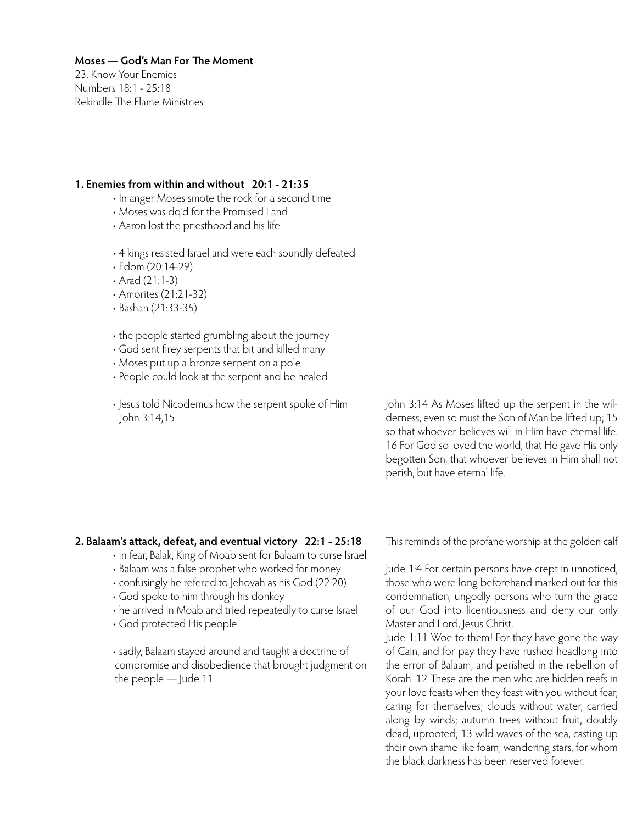23. Know Your Enemies Numbers 18:1 - 25:18 Rekindle The Flame Ministries

# **1. Enemies from within and without 20:1 - 21:35**

- In anger Moses smote the rock for a second time
- Moses was dq'd for the Promised Land
- Aaron lost the priesthood and his life
- 4 kings resisted Israel and were each soundly defeated
- Edom (20:14-29)
- Arad (21:1-3)
- Amorites (21:21-32)
- Bashan (21:33-35)
- the people started grumbling about the journey
- God sent firey serpents that bit and killed many
- Moses put up a bronze serpent on a pole
- People could look at the serpent and be healed
- Jesus told Nicodemus how the serpent spoke of Him John 3:14,15

John 3:14 As Moses lifted up the serpent in the wilderness, even so must the Son of Man be lifted up; 15 so that whoever believes will in Him have eternal life. 16 For God so loved the world, that He gave His only begotten Son, that whoever believes in Him shall not perish, but have eternal life.

# **2. Balaam's attack, defeat, and eventual victory 22:1 - 25:18**

- in fear, Balak, King of Moab sent for Balaam to curse Israel
- Balaam was a false prophet who worked for money
- confusingly he refered to Jehovah as his God (22:20)
- God spoke to him through his donkey
- he arrived in Moab and tried repeatedly to curse Israel
- God protected His people

• sadly, Balaam stayed around and taught a doctrine of compromise and disobedience that brought judgment on the people — Jude 11

This reminds of the profane worship at the golden calf

Jude 1:4 For certain persons have crept in unnoticed, those who were long beforehand marked out for this condemnation, ungodly persons who turn the grace of our God into licentiousness and deny our only Master and Lord, Jesus Christ.

Jude 1:11 Woe to them! For they have gone the way of Cain, and for pay they have rushed headlong into the error of Balaam, and perished in the rebellion of Korah. 12 These are the men who are hidden reefs in your love feasts when they feast with you without fear, caring for themselves; clouds without water, carried along by winds; autumn trees without fruit, doubly dead, uprooted; 13 wild waves of the sea, casting up their own shame like foam; wandering stars, for whom the black darkness has been reserved forever.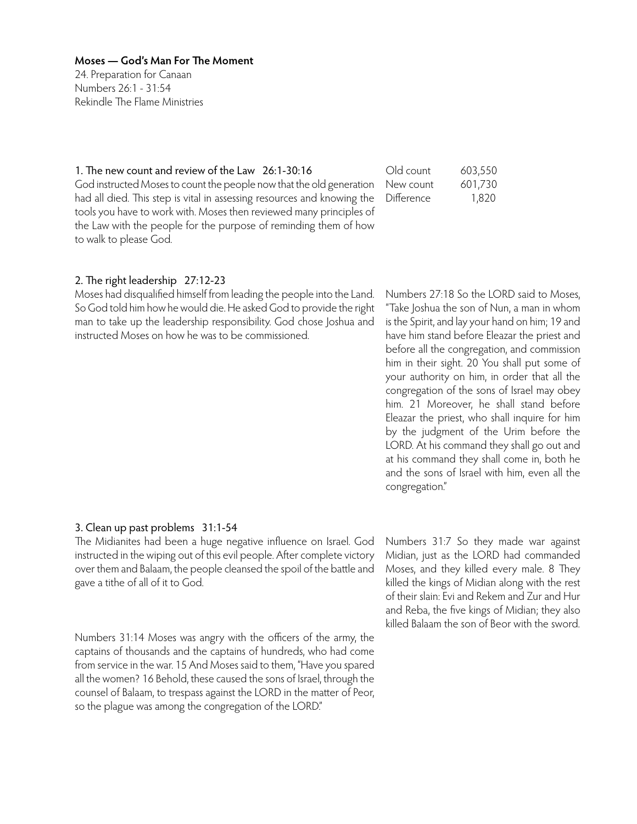24. Preparation for Canaan Numbers 26:1 - 31:54 Rekindle The Flame Ministries

1. The new count and review of the Law 26:1-30:16 God instructed Moses to count the people now that the old generation had all died. This step is vital in assessing resources and knowing the tools you have to work with. Moses then reviewed many principles of the Law with the people for the purpose of reminding them of how to walk to please God.

# 2. The right leadership 27:12-23

Moses had disqualified himself from leading the people into the Land. So God told him how he would die. He asked God to provide the right man to take up the leadership responsibility. God chose Joshua and instructed Moses on how he was to be commissioned.

| Old count  | 603,550 |
|------------|---------|
| New count  | 601,730 |
| Difference | 1,820   |

Numbers 27:18 So the LORD said to Moses, "Take Joshua the son of Nun, a man in whom is the Spirit, and lay your hand on him; 19 and have him stand before Eleazar the priest and before all the congregation, and commission him in their sight. 20 You shall put some of your authority on him, in order that all the congregation of the sons of Israel may obey him. 21 Moreover, he shall stand before Eleazar the priest, who shall inquire for him by the judgment of the Urim before the LORD. At his command they shall go out and at his command they shall come in, both he and the sons of Israel with him, even all the congregation."

## 3. Clean up past problems 31:1-54

The Midianites had been a huge negative influence on Israel. God instructed in the wiping out of this evil people. After complete victory over them and Balaam, the people cleansed the spoil of the battle and gave a tithe of all of it to God.

Numbers 31:14 Moses was angry with the officers of the army, the captains of thousands and the captains of hundreds, who had come from service in the war. 15 And Moses said to them, "Have you spared all the women? 16 Behold, these caused the sons of Israel, through the counsel of Balaam, to trespass against the LORD in the matter of Peor, so the plague was among the congregation of the LORD."

Numbers 31:7 So they made war against Midian, just as the LORD had commanded Moses, and they killed every male. 8 They killed the kings of Midian along with the rest of their slain: Evi and Rekem and Zur and Hur and Reba, the five kings of Midian; they also killed Balaam the son of Beor with the sword.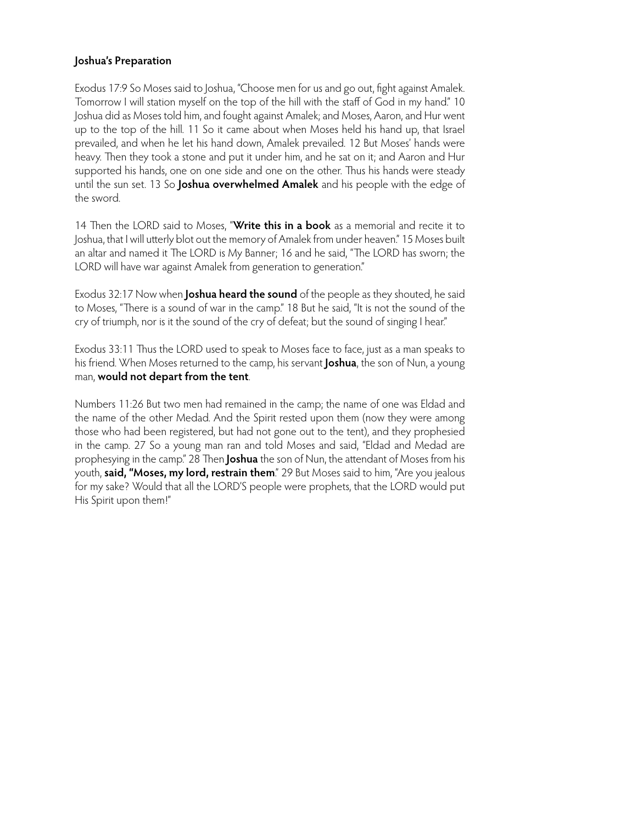# **Joshua's Preparation**

Exodus 17:9 So Moses said to Joshua, "Choose men for us and go out, fight against Amalek. Tomorrow I will station myself on the top of the hill with the staff of God in my hand." 10 Joshua did as Moses told him, and fought against Amalek; and Moses, Aaron, and Hur went up to the top of the hill. 11 So it came about when Moses held his hand up, that Israel prevailed, and when he let his hand down, Amalek prevailed. 12 But Moses' hands were heavy. Then they took a stone and put it under him, and he sat on it; and Aaron and Hur supported his hands, one on one side and one on the other. Thus his hands were steady until the sun set. 13 So **Joshua overwhelmed Amalek** and his people with the edge of the sword.

14 Then the LORD said to Moses, "**Write this in a book** as a memorial and recite it to Joshua, that I will utterly blot out the memory of Amalek from under heaven." 15 Moses built an altar and named it The LORD is My Banner; 16 and he said, "The LORD has sworn; the LORD will have war against Amalek from generation to generation."

Exodus 32:17 Now when **Joshua heard the sound** of the people as they shouted, he said to Moses, "There is a sound of war in the camp." 18 But he said, "It is not the sound of the cry of triumph, nor is it the sound of the cry of defeat; but the sound of singing I hear."

Exodus 33:11 Thus the LORD used to speak to Moses face to face, just as a man speaks to his friend. When Moses returned to the camp, his servant **Joshua**, the son of Nun, a young man, **would not depart from the tent**.

Numbers 11:26 But two men had remained in the camp; the name of one was Eldad and the name of the other Medad. And the Spirit rested upon them (now they were among those who had been registered, but had not gone out to the tent), and they prophesied in the camp. 27 So a young man ran and told Moses and said, "Eldad and Medad are prophesying in the camp." 28 Then **Joshua** the son of Nun, the attendant of Moses from his youth, **said, "Moses, my lord, restrain them**." 29 But Moses said to him, "Are you jealous for my sake? Would that all the LORD'S people were prophets, that the LORD would put His Spirit upon them!"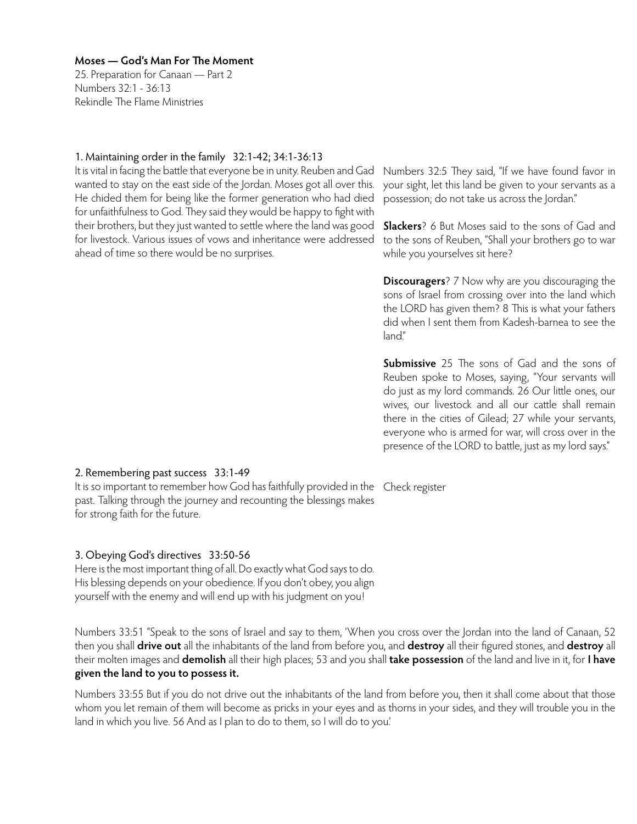25. Preparation for Canaan — Part 2 Numbers 32:1 - 36:13 Rekindle The Flame Ministries

# 1. Maintaining order in the family 32:1-42; 34:1-36:13

It is vital in facing the battle that everyone be in unity. Reuben and Gad wanted to stay on the east side of the Jordan. Moses got all over this. He chided them for being like the former generation who had died for unfaithfulness to God. They said they would be happy to fight with their brothers, but they just wanted to settle where the land was good for livestock. Various issues of vows and inheritance were addressed ahead of time so there would be no surprises.

Numbers 32:5 They said, "If we have found favor in your sight, let this land be given to your servants as a possession; do not take us across the Jordan."

**Slackers**? 6 But Moses said to the sons of Gad and to the sons of Reuben, "Shall your brothers go to war while you yourselves sit here?

**Discouragers**? 7 Now why are you discouraging the sons of Israel from crossing over into the land which the LORD has given them? 8 This is what your fathers did when I sent them from Kadesh-barnea to see the land"

**Submissive** 25 The sons of Gad and the sons of Reuben spoke to Moses, saying, "Your servants will do just as my lord commands. 26 Our little ones, our wives, our livestock and all our cattle shall remain there in the cities of Gilead; 27 while your servants, everyone who is armed for war, will cross over in the presence of the LORD to battle, just as my lord says."

# 2. Remembering past success 33:1-49

It is so important to remember how God has faithfully provided in the Check register past. Talking through the journey and recounting the blessings makes for strong faith for the future.

# 3. Obeying God's directives 33:50-56

Here is the most important thing of all. Do exactly what God says to do. His blessing depends on your obedience. If you don't obey, you align yourself with the enemy and will end up with his judgment on you!

Numbers 33:51 "Speak to the sons of Israel and say to them, 'When you cross over the Jordan into the land of Canaan, 52 then you shall **drive out** all the inhabitants of the land from before you, and **destroy** all their figured stones, and **destroy** all their molten images and **demolish** all their high places; 53 and you shall **take possession** of the land and live in it, for **I have given the land to you to possess it.**

Numbers 33:55 But if you do not drive out the inhabitants of the land from before you, then it shall come about that those whom you let remain of them will become as pricks in your eyes and as thorns in your sides, and they will trouble you in the land in which you live. 56 And as I plan to do to them, so I will do to you.'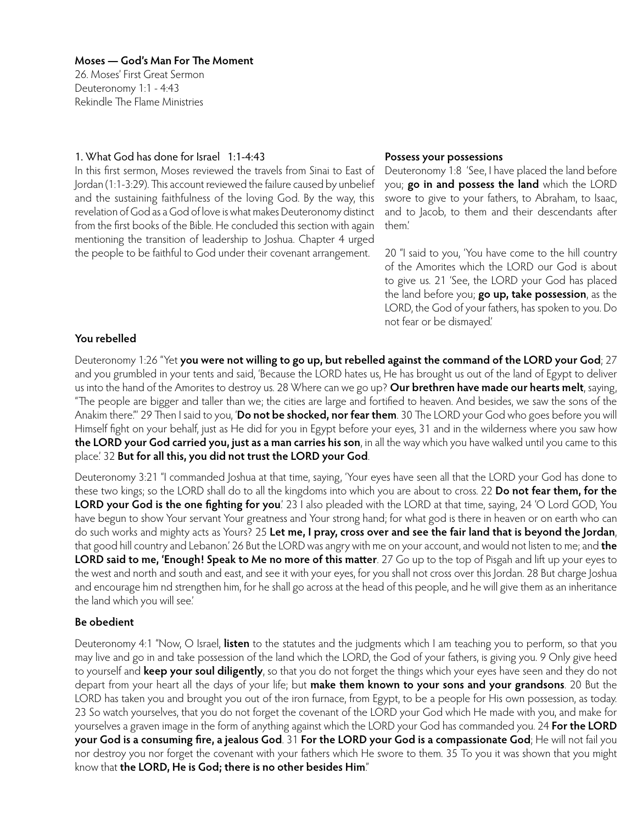26. Moses' First Great Sermon Deuteronomy 1:1 - 4:43 Rekindle The Flame Ministries

# 1. What God has done for Israel 1:1-4:43

In this first sermon, Moses reviewed the travels from Sinai to East of Jordan (1:1-3:29). This account reviewed the failure caused by unbelief and the sustaining faithfulness of the loving God. By the way, this revelation of God as a God of love is what makes Deuteronomy distinct from the first books of the Bible. He concluded this section with again mentioning the transition of leadership to Joshua. Chapter 4 urged the people to be faithful to God under their covenant arrangement.

## **Possess your possessions**

Deuteronomy 1:8 'See, I have placed the land before you; **go in and possess the land** which the LORD swore to give to your fathers, to Abraham, to Isaac, and to Jacob, to them and their descendants after them.'

20 "I said to you, 'You have come to the hill country of the Amorites which the LORD our God is about to give us. 21 'See, the LORD your God has placed the land before you; **go up, take possession**, as the LORD, the God of your fathers, has spoken to you. Do not fear or be dismayed.'

# **You rebelled**

Deuteronomy 1:26 "Yet **you were not willing to go up, but rebelled against the command of the LORD your God**; 27 and you grumbled in your tents and said, 'Because the LORD hates us, He has brought us out of the land of Egypt to deliver us into the hand of the Amorites to destroy us. 28 Where can we go up? **Our brethren have made our hearts melt**, saying, "The people are bigger and taller than we; the cities are large and fortified to heaven. And besides, we saw the sons of the Anakim there."' 29 Then I said to you, '**Do not be shocked, nor fear them**. 30 The LORD your God who goes before you will Himself fight on your behalf, just as He did for you in Egypt before your eyes, 31 and in the wilderness where you saw how **the LORD your God carried you, just as a man carries his son**, in all the way which you have walked until you came to this place.' 32 **But for all this, you did not trust the LORD your God**.

Deuteronomy 3:21 "I commanded Joshua at that time, saying, 'Your eyes have seen all that the LORD your God has done to these two kings; so the LORD shall do to all the kingdoms into which you are about to cross. 22 **Do not fear them, for the LORD your God is the one fighting for you**.' 23 I also pleaded with the LORD at that time, saying, 24 'O Lord GOD, You have begun to show Your servant Your greatness and Your strong hand; for what god is there in heaven or on earth who can do such works and mighty acts as Yours? 25 **Let me, I pray, cross over and see the fair land that is beyond the Jordan**, that good hill country and Lebanon.' 26 But the LORD was angry with me on your account, and would not listen to me; and **the LORD said to me, 'Enough! Speak to Me no more of this matter**. 27 Go up to the top of Pisgah and lift up your eyes to the west and north and south and east, and see it with your eyes, for you shall not cross over this Jordan. 28 But charge Joshua and encourage him nd strengthen him, for he shall go across at the head of this people, and he will give them as an inheritance the land which you will see.'

# **Be obedient**

Deuteronomy 4:1 "Now, O Israel, **listen** to the statutes and the judgments which I am teaching you to perform, so that you may live and go in and take possession of the land which the LORD, the God of your fathers, is giving you. 9 Only give heed to yourself and **keep your soul diligently**, so that you do not forget the things which your eyes have seen and they do not depart from your heart all the days of your life; but **make them known to your sons and your grandsons**. 20 But the LORD has taken you and brought you out of the iron furnace, from Egypt, to be a people for His own possession, as today. 23 So watch yourselves, that you do not forget the covenant of the LORD your God which He made with you, and make for yourselves a graven image in the form of anything against which the LORD your God has commanded you. 24 **For the LORD your God is a consuming fire, a jealous God**. 31 **For the LORD your God is a compassionate God**; He will not fail you nor destroy you nor forget the covenant with your fathers which He swore to them. 35 To you it was shown that you might know that **the LORD, He is God; there is no other besides Him**."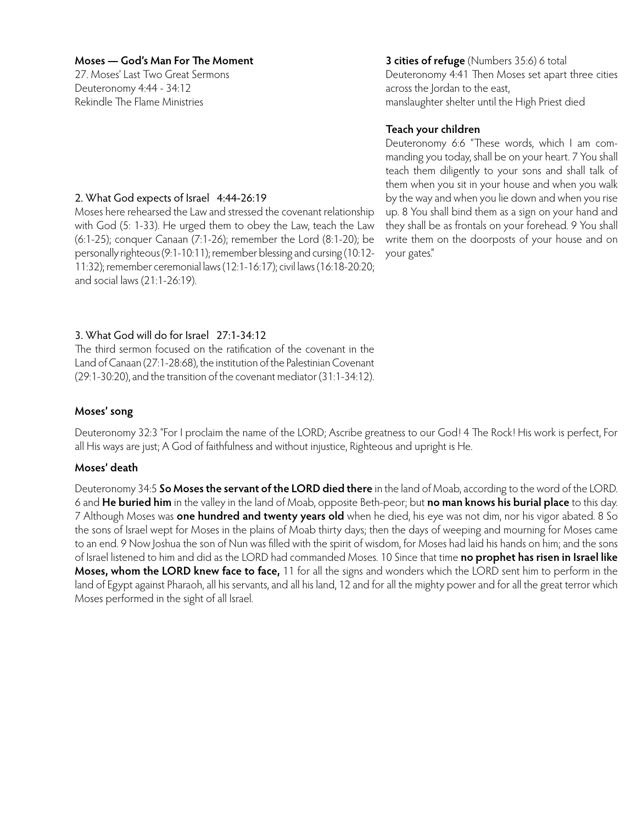27. Moses' Last Two Great Sermons Deuteronomy 4:44 - 34:12 Rekindle The Flame Ministries

# **3 cities of refuge** (Numbers 35:6) 6 total Deuteronomy 4:41 Then Moses set apart three cities across the Jordan to the east, manslaughter shelter until the High Priest died

# **Teach your children**

Deuteronomy 6:6 "These words, which I am commanding you today, shall be on your heart. 7 You shall teach them diligently to your sons and shall talk of them when you sit in your house and when you walk by the way and when you lie down and when you rise up. 8 You shall bind them as a sign on your hand and they shall be as frontals on your forehead. 9 You shall write them on the doorposts of your house and on your gates."

# 2. What God expects of Israel 4:44-26:19

Moses here rehearsed the Law and stressed the covenant relationship with God (5: 1-33). He urged them to obey the Law, teach the Law (6:1-25); conquer Canaan (7:1-26); remember the Lord (8:1-20); be personally righteous (9:1-10:11); remember blessing and cursing (10:12- 11:32); remember ceremonial laws (12:1-16:17); civil laws (16:18-20:20; and social laws (21:1-26:19).

# 3. What God will do for Israel 27:1-34:12

The third sermon focused on the ratification of the covenant in the Land of Canaan (27:1-28:68), the institution of the Palestinian Covenant (29:1-30:20), and the transition of the covenant mediator (31:1-34:12).

# **Moses' song**

Deuteronomy 32:3 "For I proclaim the name of the LORD; Ascribe greatness to our God! 4 The Rock! His work is perfect, For all His ways are just; A God of faithfulness and without injustice, Righteous and upright is He.

# **Moses' death**

Deuteronomy 34:5 **So Moses the servant of the LORD died there** in the land of Moab, according to the word of the LORD. 6 and **He buried him** in the valley in the land of Moab, opposite Beth-peor; but **no man knows his burial place** to this day. 7 Although Moses was **one hundred and twenty years old** when he died, his eye was not dim, nor his vigor abated. 8 So the sons of Israel wept for Moses in the plains of Moab thirty days; then the days of weeping and mourning for Moses came to an end. 9 Now Joshua the son of Nun was filled with the spirit of wisdom, for Moses had laid his hands on him; and the sons of Israel listened to him and did as the LORD had commanded Moses. 10 Since that time **no prophet has risen in Israel like Moses, whom the LORD knew face to face,** 11 for all the signs and wonders which the LORD sent him to perform in the land of Egypt against Pharaoh, all his servants, and all his land, 12 and for all the mighty power and for all the great terror which Moses performed in the sight of all Israel.